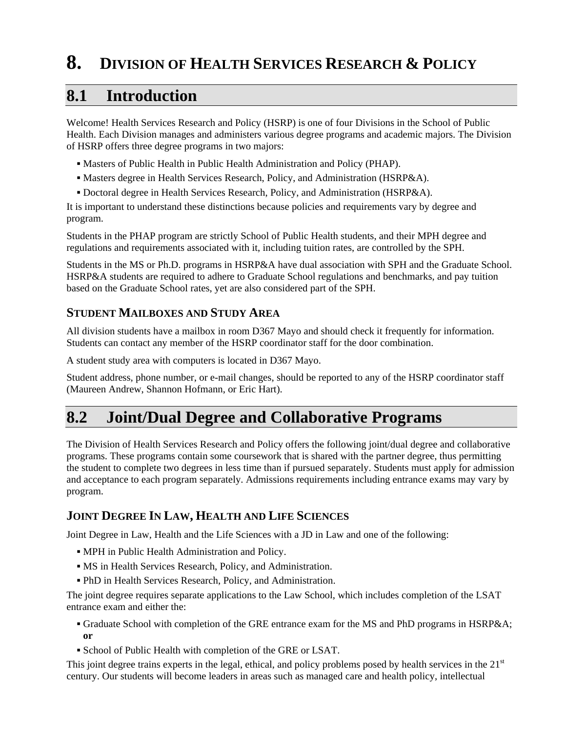# **8. DIVISION OF HEALTH SERVICES RESEARCH & POLICY**

## **8.1 Introduction**

Welcome! Health Services Research and Policy (HSRP) is one of four Divisions in the School of Public Health. Each Division manages and administers various degree programs and academic majors. The Division of HSRP offers three degree programs in two majors:

- Masters of Public Health in Public Health Administration and Policy (PHAP).
- Masters degree in Health Services Research, Policy, and Administration (HSRP&A).
- Doctoral degree in Health Services Research, Policy, and Administration (HSRP&A).

It is important to understand these distinctions because policies and requirements vary by degree and program.

Students in the PHAP program are strictly School of Public Health students, and their MPH degree and regulations and requirements associated with it, including tuition rates, are controlled by the SPH.

Students in the MS or Ph.D. programs in HSRP&A have dual association with SPH and the Graduate School. HSRP&A students are required to adhere to Graduate School regulations and benchmarks, and pay tuition based on the Graduate School rates, yet are also considered part of the SPH.

## **STUDENT MAILBOXES AND STUDY AREA**

All division students have a mailbox in room D367 Mayo and should check it frequently for information. Students can contact any member of the HSRP coordinator staff for the door combination.

A student study area with computers is located in D367 Mayo.

Student address, phone number, or e-mail changes, should be reported to any of the HSRP coordinator staff (Maureen Andrew, Shannon Hofmann, or Eric Hart).

# **8.2 Joint/Dual Degree and Collaborative Programs**

The Division of Health Services Research and Policy offers the following joint/dual degree and collaborative programs. These programs contain some coursework that is shared with the partner degree, thus permitting the student to complete two degrees in less time than if pursued separately. Students must apply for admission and acceptance to each program separately. Admissions requirements including entrance exams may vary by program.

## **JOINT DEGREE IN LAW, HEALTH AND LIFE SCIENCES**

Joint Degree in Law, Health and the Life Sciences with a JD in Law and one of the following:

- MPH in Public Health Administration and Policy.
- MS in Health Services Research, Policy, and Administration.
- PhD in Health Services Research, Policy, and Administration.

The joint degree requires separate applications to the Law School, which includes completion of the LSAT entrance exam and either the:

- Graduate School with completion of the GRE entrance exam for the MS and PhD programs in HSRP&A; **or**
- School of Public Health with completion of the GRE or LSAT.

This joint degree trains experts in the legal, ethical, and policy problems posed by health services in the  $21<sup>st</sup>$ century. Our students will become leaders in areas such as managed care and health policy, intellectual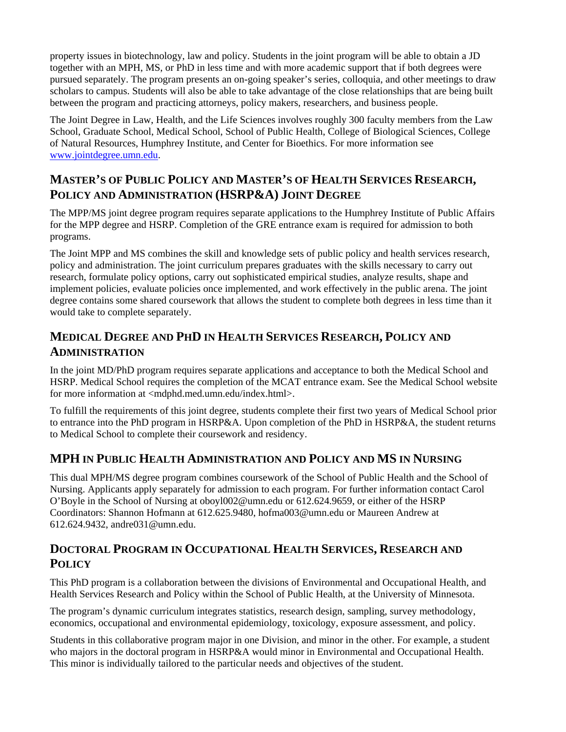property issues in biotechnology, law and policy. Students in the joint program will be able to obtain a JD together with an MPH, MS, or PhD in less time and with more academic support that if both degrees were pursued separately. The program presents an on-going speaker's series, colloquia, and other meetings to draw scholars to campus. Students will also be able to take advantage of the close relationships that are being built between the program and practicing attorneys, policy makers, researchers, and business people.

The Joint Degree in Law, Health, and the Life Sciences involves roughly 300 faculty members from the Law School, Graduate School, Medical School, School of Public Health, College of Biological Sciences, College of Natural Resources, Humphrey Institute, and Center for Bioethics. For more information see www.jointdegree.umn.edu.

## **MASTER'S OF PUBLIC POLICY AND MASTER'S OF HEALTH SERVICES RESEARCH, POLICY AND ADMINISTRATION (HSRP&A) JOINT DEGREE**

The MPP/MS joint degree program requires separate applications to the Humphrey Institute of Public Affairs for the MPP degree and HSRP. Completion of the GRE entrance exam is required for admission to both programs.

The Joint MPP and MS combines the skill and knowledge sets of public policy and health services research, policy and administration. The joint curriculum prepares graduates with the skills necessary to carry out research, formulate policy options, carry out sophisticated empirical studies, analyze results, shape and implement policies, evaluate policies once implemented, and work effectively in the public arena. The joint degree contains some shared coursework that allows the student to complete both degrees in less time than it would take to complete separately.

## **MEDICAL DEGREE AND PHD IN HEALTH SERVICES RESEARCH, POLICY AND ADMINISTRATION**

In the joint MD/PhD program requires separate applications and acceptance to both the Medical School and HSRP. Medical School requires the completion of the MCAT entrance exam. See the Medical School website for more information at <mdphd.med.umn.edu/index.html>.

To fulfill the requirements of this joint degree, students complete their first two years of Medical School prior to entrance into the PhD program in HSRP&A. Upon completion of the PhD in HSRP&A, the student returns to Medical School to complete their coursework and residency.

## **MPH IN PUBLIC HEALTH ADMINISTRATION AND POLICY AND MS IN NURSING**

This dual MPH/MS degree program combines coursework of the School of Public Health and the School of Nursing. Applicants apply separately for admission to each program. For further information contact Carol O'Boyle in the School of Nursing at oboyl002@umn.edu or 612.624.9659, or either of the HSRP Coordinators: Shannon Hofmann at 612.625.9480, hofma003@umn.edu or Maureen Andrew at 612.624.9432, andre031@umn.edu.

## **DOCTORAL PROGRAM IN OCCUPATIONAL HEALTH SERVICES, RESEARCH AND POLICY**

This PhD program is a collaboration between the divisions of Environmental and Occupational Health, and Health Services Research and Policy within the School of Public Health, at the University of Minnesota.

The program's dynamic curriculum integrates statistics, research design, sampling, survey methodology, economics, occupational and environmental epidemiology, toxicology, exposure assessment, and policy.

Students in this collaborative program major in one Division, and minor in the other. For example, a student who majors in the doctoral program in HSRP&A would minor in Environmental and Occupational Health. This minor is individually tailored to the particular needs and objectives of the student.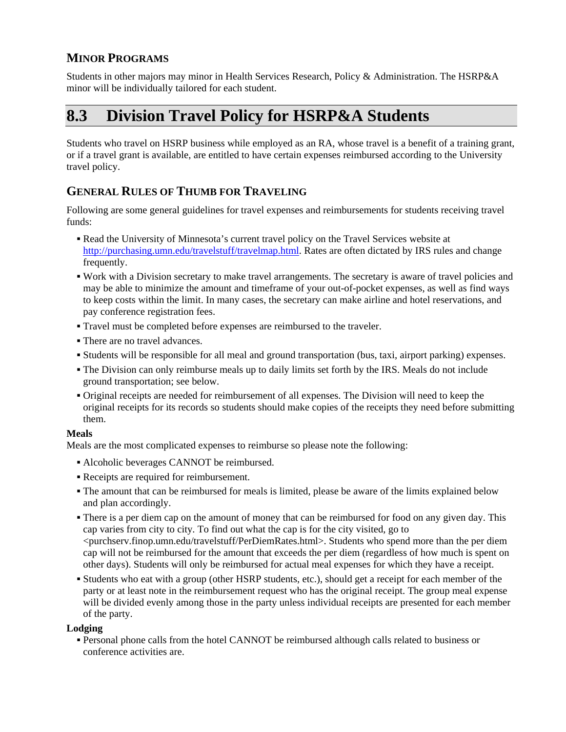## **MINOR PROGRAMS**

Students in other majors may minor in Health Services Research, Policy & Administration. The HSRP&A minor will be individually tailored for each student.

# **8.3 Division Travel Policy for HSRP&A Students**

Students who travel on HSRP business while employed as an RA, whose travel is a benefit of a training grant, or if a travel grant is available, are entitled to have certain expenses reimbursed according to the University travel policy.

## **GENERAL RULES OF THUMB FOR TRAVELING**

Following are some general guidelines for travel expenses and reimbursements for students receiving travel funds:

- Read the University of Minnesota's current travel policy on the Travel Services website at http://purchasing.umn.edu/travelstuff/travelmap.html. Rates are often dictated by IRS rules and change frequently.
- Work with a Division secretary to make travel arrangements. The secretary is aware of travel policies and may be able to minimize the amount and timeframe of your out-of-pocket expenses, as well as find ways to keep costs within the limit. In many cases, the secretary can make airline and hotel reservations, and pay conference registration fees.
- Travel must be completed before expenses are reimbursed to the traveler.
- There are no travel advances.
- Students will be responsible for all meal and ground transportation (bus, taxi, airport parking) expenses.
- The Division can only reimburse meals up to daily limits set forth by the IRS. Meals do not include ground transportation; see below.
- Original receipts are needed for reimbursement of all expenses. The Division will need to keep the original receipts for its records so students should make copies of the receipts they need before submitting them.

#### **Meals**

Meals are the most complicated expenses to reimburse so please note the following:

- Alcoholic beverages CANNOT be reimbursed.
- Receipts are required for reimbursement.
- The amount that can be reimbursed for meals is limited, please be aware of the limits explained below and plan accordingly.
- There is a per diem cap on the amount of money that can be reimbursed for food on any given day. This cap varies from city to city. To find out what the cap is for the city visited, go to <purchserv.finop.umn.edu/travelstuff/PerDiemRates.html>. Students who spend more than the per diem cap will not be reimbursed for the amount that exceeds the per diem (regardless of how much is spent on other days). Students will only be reimbursed for actual meal expenses for which they have a receipt.
- Students who eat with a group (other HSRP students, etc.), should get a receipt for each member of the party or at least note in the reimbursement request who has the original receipt. The group meal expense will be divided evenly among those in the party unless individual receipts are presented for each member of the party.

#### **Lodging**

 Personal phone calls from the hotel CANNOT be reimbursed although calls related to business or conference activities are.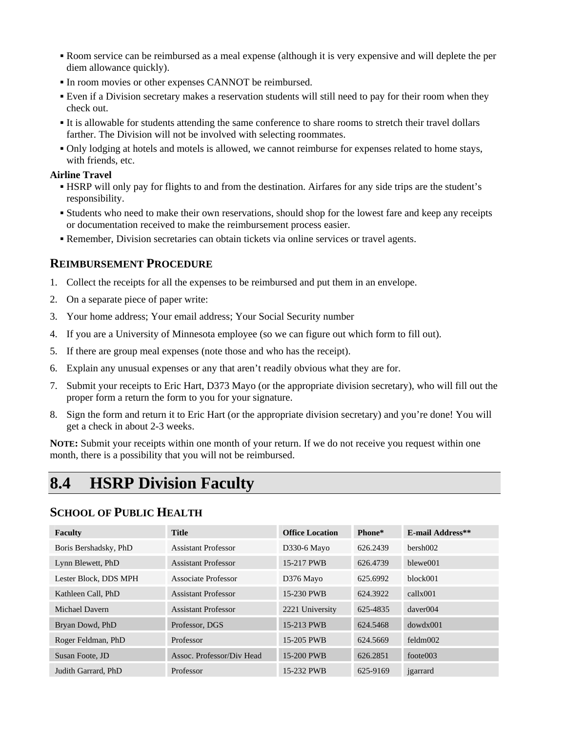- Room service can be reimbursed as a meal expense (although it is very expensive and will deplete the per diem allowance quickly).
- In room movies or other expenses CANNOT be reimbursed.
- Even if a Division secretary makes a reservation students will still need to pay for their room when they check out.
- It is allowable for students attending the same conference to share rooms to stretch their travel dollars farther. The Division will not be involved with selecting roommates.
- Only lodging at hotels and motels is allowed, we cannot reimburse for expenses related to home stays, with friends, etc.

#### **Airline Travel**

- HSRP will only pay for flights to and from the destination. Airfares for any side trips are the student's responsibility.
- Students who need to make their own reservations, should shop for the lowest fare and keep any receipts or documentation received to make the reimbursement process easier.
- Remember, Division secretaries can obtain tickets via online services or travel agents.

### **REIMBURSEMENT PROCEDURE**

- 1. Collect the receipts for all the expenses to be reimbursed and put them in an envelope.
- 2. On a separate piece of paper write:
- 3. Your home address; Your email address; Your Social Security number
- 4. If you are a University of Minnesota employee (so we can figure out which form to fill out).
- 5. If there are group meal expenses (note those and who has the receipt).
- 6. Explain any unusual expenses or any that aren't readily obvious what they are for.
- 7. Submit your receipts to Eric Hart, D373 Mayo (or the appropriate division secretary), who will fill out the proper form a return the form to you for your signature.
- 8. Sign the form and return it to Eric Hart (or the appropriate division secretary) and you're done! You will get a check in about 2-3 weeks.

**NOTE:** Submit your receipts within one month of your return. If we do not receive you request within one month, there is a possibility that you will not be reimbursed.

# **8.4 HSRP Division Faculty**

## **SCHOOL OF PUBLIC HEALTH**

| <b>Faculty</b>        | <b>Title</b>               | <b>Office Location</b> | Phone*   | E-mail Address** |
|-----------------------|----------------------------|------------------------|----------|------------------|
| Boris Bershadsky, PhD | <b>Assistant Professor</b> | D330-6 Mayo            | 626.2439 | bersh002         |
| Lynn Blewett, PhD     | <b>Assistant Professor</b> | 15-217 PWB             | 626.4739 | blewe001         |
| Lester Block, DDS MPH | Associate Professor        | D376 Mayo              | 625.6992 | block001         |
| Kathleen Call, PhD    | <b>Assistant Professor</b> | 15-230 PWB             | 624.3922 | callxx001        |
| Michael Davern        | <b>Assistant Professor</b> | 2221 University        | 625-4835 | daver004         |
| Bryan Dowd, PhD       | Professor, DGS             | 15-213 PWB             | 624.5468 | dowdx001         |
| Roger Feldman, PhD    | Professor                  | 15-205 PWB             | 624.5669 | feldm002         |
| Susan Foote, JD       | Assoc. Professor/Div Head  | 15-200 PWB             | 626.2851 | footes 003       |
| Judith Garrard, PhD   | Professor                  | 15-232 PWB             | 625-9169 | jgarrard         |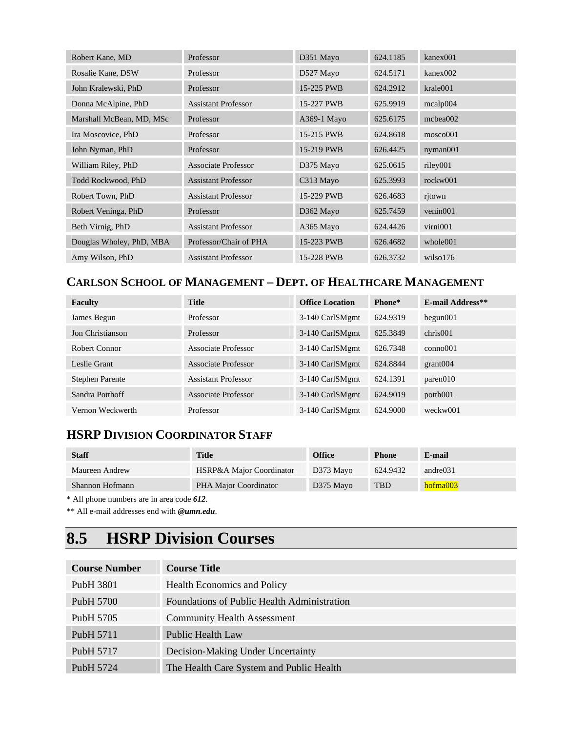| Robert Kane, MD          | Professor                  | D351 Mayo             | 624.1185 | kanex001             |
|--------------------------|----------------------------|-----------------------|----------|----------------------|
| Rosalie Kane, DSW        | Professor                  | D527 Mayo             | 624.5171 | kanex002             |
| John Kralewski, PhD      | Professor                  | 15-225 PWB            | 624.2912 | krale001             |
| Donna McAlpine, PhD      | <b>Assistant Professor</b> | 15-227 PWB            | 625.9919 | mealp004             |
| Marshall McBean, MD, MSc | Professor                  | A369-1 Mayo           | 625.6175 | mcbea002             |
| Ira Moscovice, PhD       | Professor                  | 15-215 PWB            | 624.8618 | mosco001             |
| John Nyman, PhD          | Professor                  | 15-219 PWB            | 626.4425 | nyman001             |
| William Riley, PhD       | <b>Associate Professor</b> | D375 Mayo             | 625.0615 | riley001             |
| Todd Rockwood, PhD       | <b>Assistant Professor</b> | C313 Mayo             | 625.3993 | rockw001             |
| Robert Town, PhD         | <b>Assistant Professor</b> | 15-229 PWB            | 626.4683 | ritown               |
| Robert Veninga, PhD      | Professor                  | D <sub>362</sub> Mayo | 625.7459 | venin001             |
| Beth Virnig, PhD         | <b>Assistant Professor</b> | A365 Mayo             | 624.4426 | virni001             |
| Douglas Wholey, PhD, MBA | Professor/Chair of PHA     | 15-223 PWB            | 626.4682 | whole <sup>001</sup> |
| Amy Wilson, PhD          | <b>Assistant Professor</b> | 15-228 PWB            | 626.3732 | wilso176             |

## **CARLSON SCHOOL OF MANAGEMENT – DEPT. OF HEALTHCARE MANAGEMENT**

| Faculty                | <b>Title</b>               | <b>Office Location</b> | Phone*   | <b>E-mail Address**</b>                     |
|------------------------|----------------------------|------------------------|----------|---------------------------------------------|
| James Begun            | Professor                  | 3-140 CarlSMgmt        | 624.9319 | $begin{bmatrix}0 & 1 \\ 0 & 1\end{bmatrix}$ |
| Jon Christianson       | Professor                  | 3-140 CarlSMgmt        | 625.3849 | chris001                                    |
| Robert Connor          | Associate Professor        | 3-140 CarlSMgmt        | 626.7348 | $\cos 0.01$                                 |
| Leslie Grant           | Associate Professor        | 3-140 CarlSMgmt        | 624.8844 | grant 004                                   |
| <b>Stephen Parente</b> | <b>Assistant Professor</b> | 3-140 CarlSMgmt        | 624.1391 | parent010                                   |
| Sandra Potthoff        | Associate Professor        | 3-140 CarlSMgmt        | 624.9019 | potth001                                    |
| Vernon Weckwerth       | Professor                  | 3-140 CarlSMgmt        | 624.9000 | weckw001                                    |

## **HSRP DIVISION COORDINATOR STAFF**

| <b>Staff</b>    | <b>Title</b>             | <b>Office</b> | <b>Phone</b> | E-mail   |
|-----------------|--------------------------|---------------|--------------|----------|
| Maureen Andrew  | HSRP&A Major Coordinator | D373 Mayo     | 624.9432     | andre031 |
| Shannon Hofmann | PHA Major Coordinator    | D375 Mayo     | <b>TBD</b>   | hofma003 |

\* All phone numbers are in area code *612*.

\*\* All e-mail addresses end with *@umn.edu*.

# **8.5 HSRP Division Courses**

| <b>Course Number</b>  | <b>Course Title</b>                         |
|-----------------------|---------------------------------------------|
| PubH 3801             | <b>Health Economics and Policy</b>          |
| PubH 5700             | Foundations of Public Health Administration |
| PubH 5705             | <b>Community Health Assessment</b>          |
| PubH 5711             | Public Health Law                           |
| Pub <sub>H</sub> 5717 | Decision-Making Under Uncertainty           |
| Pub <sub>H</sub> 5724 | The Health Care System and Public Health    |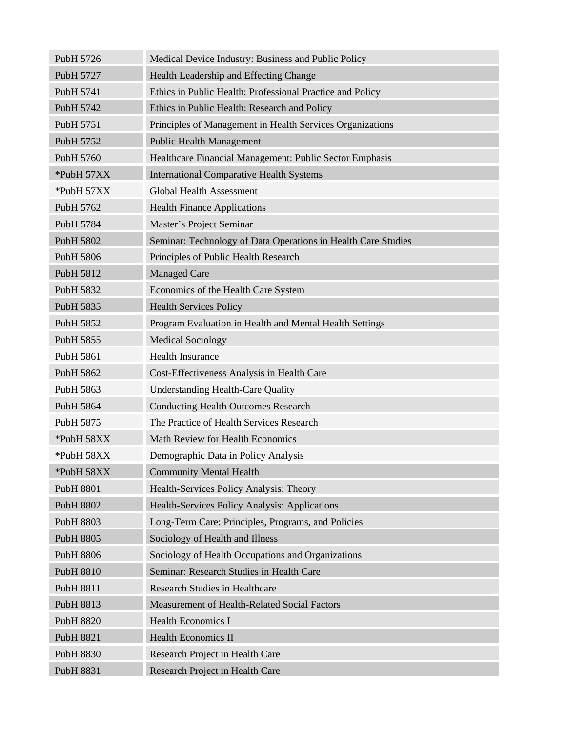| PubH 5726        | Medical Device Industry: Business and Public Policy           |
|------------------|---------------------------------------------------------------|
| PubH 5727        | Health Leadership and Effecting Change                        |
| PubH 5741        | Ethics in Public Health: Professional Practice and Policy     |
| PubH 5742        | Ethics in Public Health: Research and Policy                  |
| PubH 5751        | Principles of Management in Health Services Organizations     |
| PubH 5752        | <b>Public Health Management</b>                               |
| PubH 5760        | Healthcare Financial Management: Public Sector Emphasis       |
| *PubH 57XX       | <b>International Comparative Health Systems</b>               |
| *PubH 57XX       | <b>Global Health Assessment</b>                               |
| PubH 5762        | <b>Health Finance Applications</b>                            |
| PubH 5784        | Master's Project Seminar                                      |
| PubH 5802        | Seminar: Technology of Data Operations in Health Care Studies |
| PubH 5806        | Principles of Public Health Research                          |
| PubH 5812        | <b>Managed Care</b>                                           |
| PubH 5832        | Economics of the Health Care System                           |
| PubH 5835        | <b>Health Services Policy</b>                                 |
| PubH 5852        | Program Evaluation in Health and Mental Health Settings       |
| PubH 5855        | <b>Medical Sociology</b>                                      |
| PubH 5861        | <b>Health Insurance</b>                                       |
| PubH 5862        | Cost-Effectiveness Analysis in Health Care                    |
| PubH 5863        | <b>Understanding Health-Care Quality</b>                      |
| PubH 5864        | <b>Conducting Health Outcomes Research</b>                    |
| PubH 5875        | The Practice of Health Services Research                      |
| *PubH 58XX       | Math Review for Health Economics                              |
| *PubH 58XX       | Demographic Data in Policy Analysis                           |
| *PubH 58XX       | <b>Community Mental Health</b>                                |
| PubH 8801        | Health-Services Policy Analysis: Theory                       |
| PubH 8802        | Health-Services Policy Analysis: Applications                 |
| PubH 8803        | Long-Term Care: Principles, Programs, and Policies            |
| PubH 8805        | Sociology of Health and Illness                               |
| PubH 8806        | Sociology of Health Occupations and Organizations             |
| PubH 8810        | Seminar: Research Studies in Health Care                      |
| PubH 8811        | <b>Research Studies in Healthcare</b>                         |
| PubH 8813        | Measurement of Health-Related Social Factors                  |
| <b>PubH 8820</b> | <b>Health Economics I</b>                                     |
| PubH 8821        | <b>Health Economics II</b>                                    |
| PubH 8830        | Research Project in Health Care                               |
| PubH 8831        | Research Project in Health Care                               |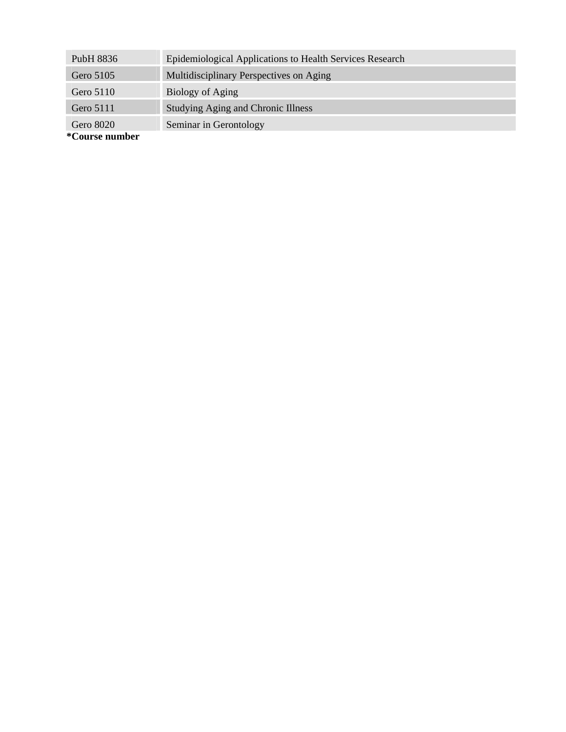| PubH 8836     | Epidemiological Applications to Health Services Research |
|---------------|----------------------------------------------------------|
| Gero 5105     | Multidisciplinary Perspectives on Aging                  |
| Gero 5110     | Biology of Aging                                         |
| Gero 5111     | <b>Studying Aging and Chronic Illness</b>                |
| Gero 8020     | Seminar in Gerontology                                   |
| $\sim$ $\sim$ |                                                          |

**\*Course number**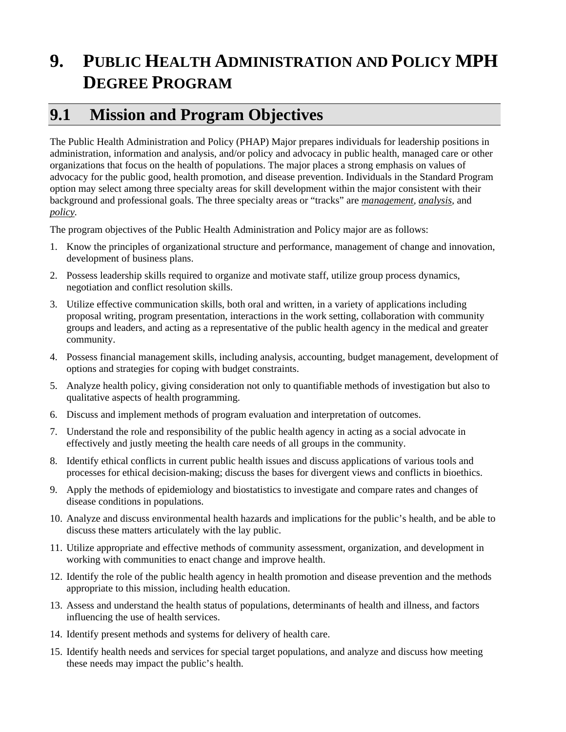# **9. PUBLIC HEALTH ADMINISTRATION AND POLICY MPH DEGREE PROGRAM**

# **9.1 Mission and Program Objectives**

The Public Health Administration and Policy (PHAP) Major prepares individuals for leadership positions in administration, information and analysis, and/or policy and advocacy in public health, managed care or other organizations that focus on the health of populations. The major places a strong emphasis on values of advocacy for the public good, health promotion, and disease prevention. Individuals in the Standard Program option may select among three specialty areas for skill development within the major consistent with their background and professional goals. The three specialty areas or "tracks" are *management, analysis,* and *policy.* 

The program objectives of the Public Health Administration and Policy major are as follows:

- 1. Know the principles of organizational structure and performance, management of change and innovation, development of business plans.
- 2. Possess leadership skills required to organize and motivate staff, utilize group process dynamics, negotiation and conflict resolution skills.
- 3. Utilize effective communication skills, both oral and written, in a variety of applications including proposal writing, program presentation, interactions in the work setting, collaboration with community groups and leaders, and acting as a representative of the public health agency in the medical and greater community.
- 4. Possess financial management skills, including analysis, accounting, budget management, development of options and strategies for coping with budget constraints.
- 5. Analyze health policy, giving consideration not only to quantifiable methods of investigation but also to qualitative aspects of health programming.
- 6. Discuss and implement methods of program evaluation and interpretation of outcomes.
- 7. Understand the role and responsibility of the public health agency in acting as a social advocate in effectively and justly meeting the health care needs of all groups in the community.
- 8. Identify ethical conflicts in current public health issues and discuss applications of various tools and processes for ethical decision-making; discuss the bases for divergent views and conflicts in bioethics.
- 9. Apply the methods of epidemiology and biostatistics to investigate and compare rates and changes of disease conditions in populations.
- 10. Analyze and discuss environmental health hazards and implications for the public's health, and be able to discuss these matters articulately with the lay public.
- 11. Utilize appropriate and effective methods of community assessment, organization, and development in working with communities to enact change and improve health.
- 12. Identify the role of the public health agency in health promotion and disease prevention and the methods appropriate to this mission, including health education.
- 13. Assess and understand the health status of populations, determinants of health and illness, and factors influencing the use of health services.
- 14. Identify present methods and systems for delivery of health care.
- 15. Identify health needs and services for special target populations, and analyze and discuss how meeting these needs may impact the public's health.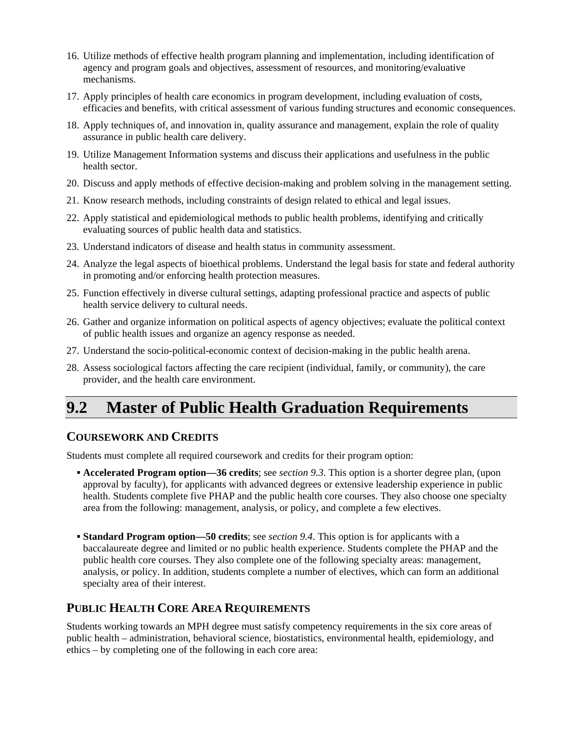- 16. Utilize methods of effective health program planning and implementation, including identification of agency and program goals and objectives, assessment of resources, and monitoring/evaluative mechanisms.
- 17. Apply principles of health care economics in program development, including evaluation of costs, efficacies and benefits, with critical assessment of various funding structures and economic consequences.
- 18. Apply techniques of, and innovation in, quality assurance and management, explain the role of quality assurance in public health care delivery.
- 19. Utilize Management Information systems and discuss their applications and usefulness in the public health sector.
- 20. Discuss and apply methods of effective decision-making and problem solving in the management setting.
- 21. Know research methods, including constraints of design related to ethical and legal issues.
- 22. Apply statistical and epidemiological methods to public health problems, identifying and critically evaluating sources of public health data and statistics.
- 23. Understand indicators of disease and health status in community assessment.
- 24. Analyze the legal aspects of bioethical problems. Understand the legal basis for state and federal authority in promoting and/or enforcing health protection measures.
- 25. Function effectively in diverse cultural settings, adapting professional practice and aspects of public health service delivery to cultural needs.
- 26. Gather and organize information on political aspects of agency objectives; evaluate the political context of public health issues and organize an agency response as needed.
- 27. Understand the socio-political-economic context of decision-making in the public health arena.
- 28. Assess sociological factors affecting the care recipient (individual, family, or community), the care provider, and the health care environment.

# **9.2 Master of Public Health Graduation Requirements**

#### **COURSEWORK AND CREDITS**

Students must complete all required coursework and credits for their program option:

- **Accelerated Program option—36 credits**; see *section 9.3*. This option is a shorter degree plan, (upon approval by faculty), for applicants with advanced degrees or extensive leadership experience in public health. Students complete five PHAP and the public health core courses. They also choose one specialty area from the following: management, analysis, or policy, and complete a few electives.
- **Standard Program option—50 credits**; see *section 9.4*. This option is for applicants with a baccalaureate degree and limited or no public health experience. Students complete the PHAP and the public health core courses. They also complete one of the following specialty areas: management, analysis, or policy. In addition, students complete a number of electives, which can form an additional specialty area of their interest.

## **PUBLIC HEALTH CORE AREA REQUIREMENTS**

Students working towards an MPH degree must satisfy competency requirements in the six core areas of public health – administration, behavioral science, biostatistics, environmental health, epidemiology, and ethics – by completing one of the following in each core area: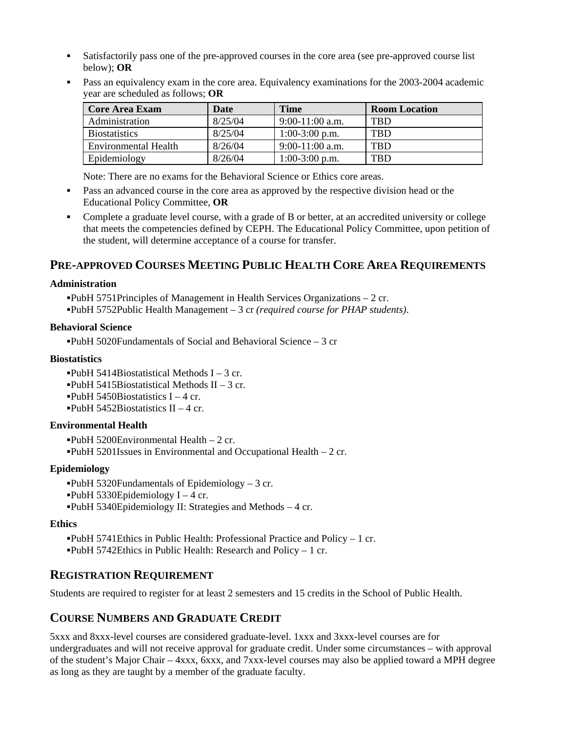- Satisfactorily pass one of the pre-approved courses in the core area (see pre-approved course list below); **OR**
- Pass an equivalency exam in the core area. Equivalency examinations for the 2003-2004 academic year are scheduled as follows; **OR**

| <b>Core Area Exam</b> | Date    | <b>Time</b>       | <b>Room Location</b> |
|-----------------------|---------|-------------------|----------------------|
| Administration        | 8/25/04 | $9:00-11:00$ a.m. | <b>TBD</b>           |
| <b>Biostatistics</b>  | 8/25/04 | $1:00-3:00$ p.m.  | TBD                  |
| Environmental Health  | 8/26/04 | $9:00-11:00$ a.m. | <b>TBD</b>           |
| Epidemiology          | 8/26/04 | $1:00-3:00$ p.m.  | <b>TBD</b>           |

Note: There are no exams for the Behavioral Science or Ethics core areas.

- Pass an advanced course in the core area as approved by the respective division head or the Educational Policy Committee, **OR**
- Complete a graduate level course, with a grade of B or better, at an accredited university or college that meets the competencies defined by CEPH. The Educational Policy Committee, upon petition of the student, will determine acceptance of a course for transfer.

### **PRE-APPROVED COURSES MEETING PUBLIC HEALTH CORE AREA REQUIREMENTS**

#### **Administration**

PubH 5751Principles of Management in Health Services Organizations – 2 cr. PubH 5752Public Health Management – 3 cr *(required course for PHAP students)*.

#### **Behavioral Science**

 $\text{PubH } 5020$ Fundamentals of Social and Behavioral Science – 3 cr

#### **Biostatistics**

 $\blacksquare$ PubH 5414Biostatistical Methods I – 3 cr.  $\text{PubH } 5415 \text{B}$ iostatistical Methods II – 3 cr. **PubH** 5450Biostatistics  $I - 4$  cr.  $\blacksquare$ PubH 5452Biostatistics II – 4 cr.

#### **Environmental Health**

**PubH** 5200Environmental Health  $-2$  cr.

PubH 5201Issues in Environmental and Occupational Health – 2 cr.

#### **Epidemiology**

 $\text{PubH } 5320$ Fundamentals of Epidemiology – 3 cr. **PubH 5330Epidemiology I** – 4 cr.

PubH 5340Epidemiology II: Strategies and Methods – 4 cr.

#### **Ethics**

**PubH 5741Ethics in Public Health: Professional Practice and Policy – 1 cr.**  $\text{PubH } 5742 \text{Ethics in Public Health: Research and Policy - 1 cr.}$ 

### **REGISTRATION REQUIREMENT**

Students are required to register for at least 2 semesters and 15 credits in the School of Public Health.

#### **COURSE NUMBERS AND GRADUATE CREDIT**

5xxx and 8xxx-level courses are considered graduate-level. 1xxx and 3xxx-level courses are for undergraduates and will not receive approval for graduate credit. Under some circumstances – with approval of the student's Major Chair – 4xxx, 6xxx, and 7xxx-level courses may also be applied toward a MPH degree as long as they are taught by a member of the graduate faculty.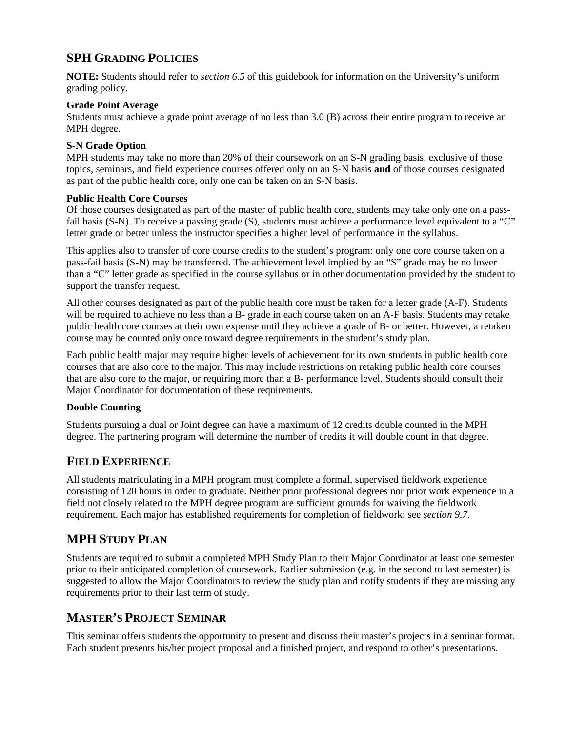## **SPH GRADING POLICIES**

**NOTE:** Students should refer to *section 6.5* of this guidebook for information on the University's uniform grading policy.

#### **Grade Point Average**

Students must achieve a grade point average of no less than 3.0 (B) across their entire program to receive an MPH degree.

#### **S-N Grade Option**

MPH students may take no more than 20% of their coursework on an S-N grading basis, exclusive of those topics, seminars, and field experience courses offered only on an S-N basis **and** of those courses designated as part of the public health core, only one can be taken on an S-N basis.

#### **Public Health Core Courses**

Of those courses designated as part of the master of public health core, students may take only one on a passfail basis (S-N). To receive a passing grade (S), students must achieve a performance level equivalent to a "C" letter grade or better unless the instructor specifies a higher level of performance in the syllabus.

This applies also to transfer of core course credits to the student's program: only one core course taken on a pass-fail basis (S-N) may be transferred. The achievement level implied by an "S" grade may be no lower than a "C" letter grade as specified in the course syllabus or in other documentation provided by the student to support the transfer request.

All other courses designated as part of the public health core must be taken for a letter grade (A-F). Students will be required to achieve no less than a B- grade in each course taken on an A-F basis. Students may retake public health core courses at their own expense until they achieve a grade of B- or better. However, a retaken course may be counted only once toward degree requirements in the student's study plan.

Each public health major may require higher levels of achievement for its own students in public health core courses that are also core to the major. This may include restrictions on retaking public health core courses that are also core to the major, or requiring more than a B- performance level. Students should consult their Major Coordinator for documentation of these requirements.

#### **Double Counting**

Students pursuing a dual or Joint degree can have a maximum of 12 credits double counted in the MPH degree. The partnering program will determine the number of credits it will double count in that degree.

### **FIELD EXPERIENCE**

All students matriculating in a MPH program must complete a formal, supervised fieldwork experience consisting of 120 hours in order to graduate. Neither prior professional degrees nor prior work experience in a field not closely related to the MPH degree program are sufficient grounds for waiving the fieldwork requirement. Each major has established requirements for completion of fieldwork; see *section 9.7*.

## **MPH STUDY PLAN**

Students are required to submit a completed MPH Study Plan to their Major Coordinator at least one semester prior to their anticipated completion of coursework. Earlier submission (e.g. in the second to last semester) is suggested to allow the Major Coordinators to review the study plan and notify students if they are missing any requirements prior to their last term of study.

## **MASTER'S PROJECT SEMINAR**

This seminar offers students the opportunity to present and discuss their master's projects in a seminar format. Each student presents his/her project proposal and a finished project, and respond to other's presentations.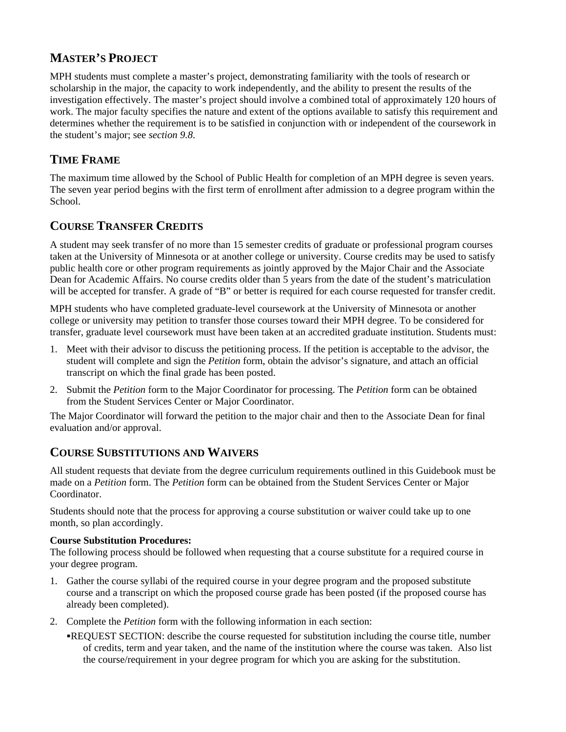## **MASTER'S PROJECT**

MPH students must complete a master's project, demonstrating familiarity with the tools of research or scholarship in the major, the capacity to work independently, and the ability to present the results of the investigation effectively. The master's project should involve a combined total of approximately 120 hours of work. The major faculty specifies the nature and extent of the options available to satisfy this requirement and determines whether the requirement is to be satisfied in conjunction with or independent of the coursework in the student's major; see *section 9.8*.

## **TIME FRAME**

The maximum time allowed by the School of Public Health for completion of an MPH degree is seven years. The seven year period begins with the first term of enrollment after admission to a degree program within the School.

## **COURSE TRANSFER CREDITS**

A student may seek transfer of no more than 15 semester credits of graduate or professional program courses taken at the University of Minnesota or at another college or university. Course credits may be used to satisfy public health core or other program requirements as jointly approved by the Major Chair and the Associate Dean for Academic Affairs. No course credits older than 5 years from the date of the student's matriculation will be accepted for transfer. A grade of "B" or better is required for each course requested for transfer credit.

MPH students who have completed graduate-level coursework at the University of Minnesota or another college or university may petition to transfer those courses toward their MPH degree. To be considered for transfer, graduate level coursework must have been taken at an accredited graduate institution. Students must:

- 1. Meet with their advisor to discuss the petitioning process. If the petition is acceptable to the advisor, the student will complete and sign the *Petition* form, obtain the advisor's signature, and attach an official transcript on which the final grade has been posted.
- 2. Submit the *Petition* form to the Major Coordinator for processing. The *Petition* form can be obtained from the Student Services Center or Major Coordinator.

The Major Coordinator will forward the petition to the major chair and then to the Associate Dean for final evaluation and/or approval.

## **COURSE SUBSTITUTIONS AND WAIVERS**

All student requests that deviate from the degree curriculum requirements outlined in this Guidebook must be made on a *Petition* form. The *Petition* form can be obtained from the Student Services Center or Major Coordinator.

Students should note that the process for approving a course substitution or waiver could take up to one month, so plan accordingly.

#### **Course Substitution Procedures:**

The following process should be followed when requesting that a course substitute for a required course in your degree program.

- 1. Gather the course syllabi of the required course in your degree program and the proposed substitute course and a transcript on which the proposed course grade has been posted (if the proposed course has already been completed).
- 2. Complete the *Petition* form with the following information in each section:
	- REQUEST SECTION: describe the course requested for substitution including the course title, number of credits, term and year taken, and the name of the institution where the course was taken. Also list the course/requirement in your degree program for which you are asking for the substitution.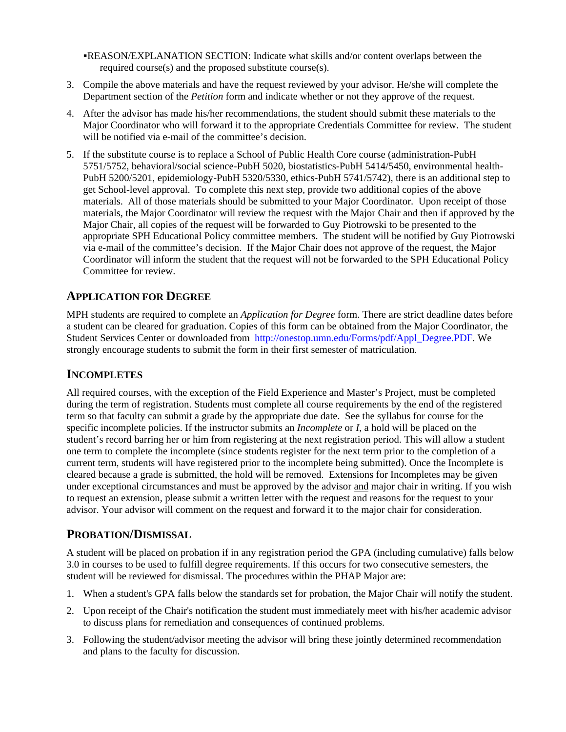REASON/EXPLANATION SECTION: Indicate what skills and/or content overlaps between the required course(s) and the proposed substitute course(s).

- 3. Compile the above materials and have the request reviewed by your advisor. He/she will complete the Department section of the *Petition* form and indicate whether or not they approve of the request.
- 4. After the advisor has made his/her recommendations, the student should submit these materials to the Major Coordinator who will forward it to the appropriate Credentials Committee for review. The student will be notified via e-mail of the committee's decision.
- 5. If the substitute course is to replace a School of Public Health Core course (administration-PubH 5751/5752, behavioral/social science-PubH 5020, biostatistics-PubH 5414/5450, environmental health-PubH 5200/5201, epidemiology-PubH 5320/5330, ethics-PubH 5741/5742), there is an additional step to get School-level approval. To complete this next step, provide two additional copies of the above materials. All of those materials should be submitted to your Major Coordinator. Upon receipt of those materials, the Major Coordinator will review the request with the Major Chair and then if approved by the Major Chair, all copies of the request will be forwarded to Guy Piotrowski to be presented to the appropriate SPH Educational Policy committee members. The student will be notified by Guy Piotrowski via e-mail of the committee's decision. If the Major Chair does not approve of the request, the Major Coordinator will inform the student that the request will not be forwarded to the SPH Educational Policy Committee for review.

### **APPLICATION FOR DEGREE**

MPH students are required to complete an *Application for Degree* form. There are strict deadline dates before a student can be cleared for graduation. Copies of this form can be obtained from the Major Coordinator, the Student Services Center or downloaded from http://onestop.umn.edu/Forms/pdf/Appl\_Degree.PDF. We strongly encourage students to submit the form in their first semester of matriculation.

### **INCOMPLETES**

All required courses, with the exception of the Field Experience and Master's Project, must be completed during the term of registration. Students must complete all course requirements by the end of the registered term so that faculty can submit a grade by the appropriate due date. See the syllabus for course for the specific incomplete policies. If the instructor submits an *Incomplete* or *I*, a hold will be placed on the student's record barring her or him from registering at the next registration period. This will allow a student one term to complete the incomplete (since students register for the next term prior to the completion of a current term, students will have registered prior to the incomplete being submitted). Once the Incomplete is cleared because a grade is submitted, the hold will be removed. Extensions for Incompletes may be given under exceptional circumstances and must be approved by the advisor and major chair in writing. If you wish to request an extension, please submit a written letter with the request and reasons for the request to your advisor. Your advisor will comment on the request and forward it to the major chair for consideration.

### **PROBATION/DISMISSAL**

A student will be placed on probation if in any registration period the GPA (including cumulative) falls below 3.0 in courses to be used to fulfill degree requirements. If this occurs for two consecutive semesters, the student will be reviewed for dismissal. The procedures within the PHAP Major are:

- 1. When a student's GPA falls below the standards set for probation, the Major Chair will notify the student.
- 2. Upon receipt of the Chair's notification the student must immediately meet with his/her academic advisor to discuss plans for remediation and consequences of continued problems.
- 3. Following the student/advisor meeting the advisor will bring these jointly determined recommendation and plans to the faculty for discussion.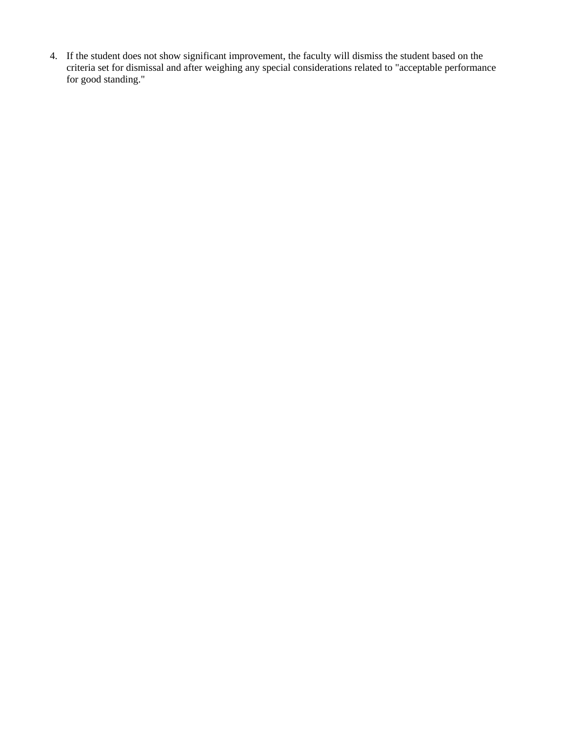4. If the student does not show significant improvement, the faculty will dismiss the student based on the criteria set for dismissal and after weighing any special considerations related to "acceptable performance for good standing."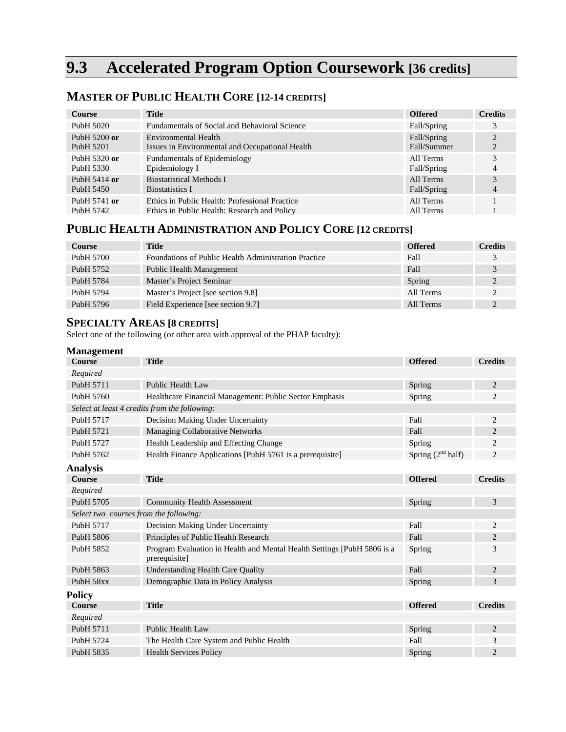# **9.3 Accelerated Program Option Coursework [36 credits]**

| <b>Course</b>            | <b>Title</b>                                    | <b>Offered</b> | <b>Credits</b> |
|--------------------------|-------------------------------------------------|----------------|----------------|
| PubH 5020                | Fundamentals of Social and Behavioral Science   | Fall/Spring    | 3              |
| PubH $5200$ or           | Environmental Health                            | Fall/Spring    | $\mathfrak{D}$ |
| PubH 5201                | Issues in Environmental and Occupational Health | Fall/Summer    |                |
| PubH 5320 or             | <b>Fundamentals of Epidemiology</b>             | All Terms      | 3              |
| PubH 5330                | Epidemiology I                                  | Fall/Spring    | 4              |
| Pub <sub>H</sub> 5414 or | <b>Biostatistical Methods I</b>                 | All Terms      | 3              |
| PubH 5450                | <b>Biostatistics I</b>                          | Fall/Spring    | 4              |
| PubH 5741 or             | Ethics in Public Health: Professional Practice  | All Terms      |                |
| Pub <sub>H</sub> 5742    | Ethics in Public Health: Research and Policy    | All Terms      |                |

## **MASTER OF PUBLIC HEALTH CORE [12-14 CREDITS]**

## **PUBLIC HEALTH ADMINISTRATION AND POLICY CORE [12 CREDITS]**

| <b>Course</b>         | <b>Title</b>                                         | <b>Offered</b> | <b>Credits</b> |
|-----------------------|------------------------------------------------------|----------------|----------------|
| PubH 5700             | Foundations of Public Health Administration Practice | Fall           |                |
| Pub <sub>H</sub> 5752 | <b>Public Health Management</b>                      | Fall           |                |
| Pub <sub>H</sub> 5784 | Master's Project Seminar                             | Spring         |                |
| Pub <sub>H</sub> 5794 | Master's Project [see section 9.8]                   | All Terms      |                |
| PubH 5796             | Field Experience [see section 9.7]                   | All Terms      |                |

## **SPECIALTY AREAS [8 CREDITS]**

Select one of the following (or other area with approval of the PHAP faculty):

| <b>Management</b>                      |                                                                                          |                        |                |
|----------------------------------------|------------------------------------------------------------------------------------------|------------------------|----------------|
| <b>Course</b>                          | <b>Title</b>                                                                             | <b>Offered</b>         | <b>Credits</b> |
| Required                               |                                                                                          |                        |                |
| Pub <sub>H</sub> 5711                  | Public Health Law                                                                        | Spring                 | 2              |
| PubH 5760                              | Healthcare Financial Management: Public Sector Emphasis                                  | Spring                 | 2              |
|                                        | Select at least 4 credits from the following:                                            |                        |                |
| Pub <sub>H</sub> 5717                  | Decision Making Under Uncertainty                                                        | Fall                   | 2              |
| PubH 5721                              | Managing Collaborative Networks                                                          | Fall                   | $\overline{c}$ |
| Pub <sub>H</sub> 5727                  | Health Leadership and Effecting Change                                                   | Spring                 | 2              |
| Pub <sub>H</sub> 5762                  | Health Finance Applications [PubH 5761 is a prerequisite]                                | Spring $(2^{nd}$ half) | $\overline{c}$ |
| <b>Analysis</b>                        |                                                                                          |                        |                |
| <b>Course</b>                          | <b>Title</b>                                                                             | <b>Offered</b>         | <b>Credits</b> |
| Required                               |                                                                                          |                        |                |
| PubH 5705                              | <b>Community Health Assessment</b>                                                       | Spring                 | 3              |
| Select two courses from the following: |                                                                                          |                        |                |
| PubH 5717                              | Decision Making Under Uncertainty                                                        | Fall                   | $\overline{c}$ |
| PubH 5806                              | Principles of Public Health Research                                                     | Fall                   | $\overline{2}$ |
| PubH 5852                              | Program Evaluation in Health and Mental Health Settings [PubH 5806 is a<br>prerequisite] | Spring                 | 3              |
| PubH 5863                              | <b>Understanding Health Care Quality</b>                                                 | Fall                   | $\overline{2}$ |
| PubH 58xx                              | Demographic Data in Policy Analysis                                                      | Spring                 | 3              |
| <b>Policy</b>                          |                                                                                          |                        |                |
| Course                                 | <b>Title</b>                                                                             | <b>Offered</b>         | <b>Credits</b> |
| Required                               |                                                                                          |                        |                |
| PubH 5711                              | Public Health Law                                                                        | Spring                 | $\overline{2}$ |
| Pub <sub>H</sub> 5724                  | The Health Care System and Public Health                                                 | Fall                   | 3              |
| PubH 5835                              | <b>Health Services Policy</b>                                                            | Spring                 | $\overline{2}$ |
|                                        |                                                                                          |                        |                |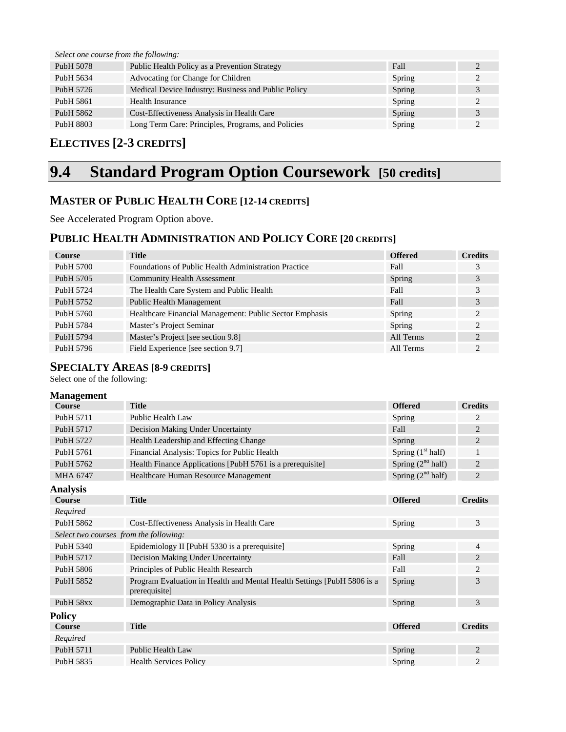| Select one course from the following: |                                                     |        |   |
|---------------------------------------|-----------------------------------------------------|--------|---|
| Pub <sub>H</sub> 5078                 | Public Health Policy as a Prevention Strategy       | Fall   |   |
| Pub <sub>H</sub> 5634                 | Advocating for Change for Children                  | Spring |   |
| PubH 5726                             | Medical Device Industry: Business and Public Policy | Spring | 3 |
| PubH 5861                             | Health Insurance                                    | Spring |   |
| Pub <sub>H</sub> 5862                 | Cost-Effectiveness Analysis in Health Care          | Spring | 3 |
| PubH 8803                             | Long Term Care: Principles, Programs, and Policies  | Spring |   |

## **ELECTIVES [2-3 CREDITS]**

# **9.4 Standard Program Option Coursework [50 credits]**

## **MASTER OF PUBLIC HEALTH CORE [12-14 CREDITS]**

See Accelerated Program Option above.

## **PUBLIC HEALTH ADMINISTRATION AND POLICY CORE [20 CREDITS]**

| <b>Course</b>         | <b>Title</b>                                            | <b>Offered</b> | <b>Credits</b> |
|-----------------------|---------------------------------------------------------|----------------|----------------|
| PubH 5700             | Foundations of Public Health Administration Practice    | Fall           | 3              |
| Pub <sub>H</sub> 5705 | <b>Community Health Assessment</b>                      | Spring         | 3              |
| Pub <sub>H</sub> 5724 | The Health Care System and Public Health                | Fall           | 3              |
| Pub <sub>H</sub> 5752 | <b>Public Health Management</b>                         | Fall           | 3              |
| PubH 5760             | Healthcare Financial Management: Public Sector Emphasis | Spring         | 2              |
| PubH 5784             | Master's Project Seminar                                | Spring         | 2              |
| Pub <sub>H</sub> 5794 | Master's Project [see section 9.8]                      | All Terms      | 2              |
| PubH 5796             | Field Experience [see section 9.7]                      | All Terms      | 2              |

### **SPECIALTY AREAS [8-9 CREDITS]**

Select one of the following:

| <b>Management</b>                      |                                                                                          |                        |                |
|----------------------------------------|------------------------------------------------------------------------------------------|------------------------|----------------|
| <b>Course</b>                          | <b>Title</b>                                                                             | <b>Offered</b>         | <b>Credits</b> |
| Pub <sub>H</sub> 5711                  | Public Health Law                                                                        | Spring                 | 2              |
| PubH 5717                              | Decision Making Under Uncertainty                                                        | Fall                   | $\overline{2}$ |
| Pub <sub>H</sub> 5727                  | Health Leadership and Effecting Change                                                   | Spring                 | $\overline{2}$ |
| Pub <sub>H</sub> 5761                  | Financial Analysis: Topics for Public Health                                             | Spring $(1st half)$    | $\mathbf{1}$   |
| Pub <sub>H</sub> 5762                  | Health Finance Applications [PubH 5761 is a prerequisite]                                | Spring $(2^{nd}$ half) | $\overline{c}$ |
| MHA 6747                               | Healthcare Human Resource Management                                                     | Spring $(2nd half)$    | $\overline{c}$ |
| <b>Analysis</b>                        |                                                                                          |                        |                |
| <b>Course</b>                          | <b>Title</b>                                                                             | <b>Offered</b>         | <b>Credits</b> |
| Required                               |                                                                                          |                        |                |
| Pub <sub>H</sub> 5862                  | Cost-Effectiveness Analysis in Health Care                                               | Spring                 | 3              |
| Select two courses from the following: |                                                                                          |                        |                |
| Pub <sub>H</sub> 5340                  | Epidemiology II [PubH 5330 is a prerequisite]                                            | Spring                 | $\overline{4}$ |
| Pub <sub>H</sub> 5717                  | Decision Making Under Uncertainty                                                        | Fall                   | $\overline{c}$ |
| Pub <sub>H</sub> 5806                  | Principles of Public Health Research                                                     | Fall                   | 2              |
| Pub <sub>H</sub> 5852                  | Program Evaluation in Health and Mental Health Settings [PubH 5806 is a<br>prerequisite] | Spring                 | 3              |
| PubH 58xx                              | Demographic Data in Policy Analysis                                                      | Spring                 | 3              |
| <b>Policy</b>                          |                                                                                          |                        |                |
| <b>Course</b>                          | <b>Title</b>                                                                             | <b>Offered</b>         | <b>Credits</b> |
| Required                               |                                                                                          |                        |                |
| PubH 5711                              | Public Health Law                                                                        | Spring                 | $\overline{c}$ |
| PubH 5835                              | <b>Health Services Policy</b>                                                            | Spring                 | $\overline{c}$ |
|                                        |                                                                                          |                        |                |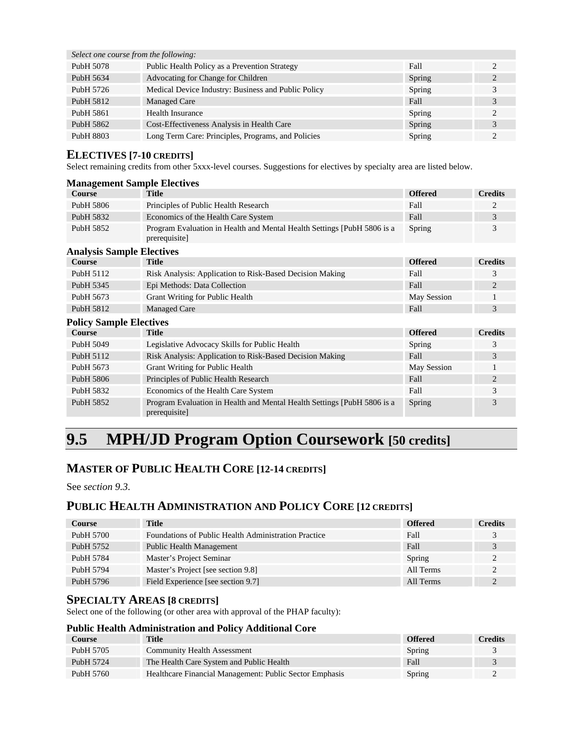*Select one course from the following:* 

| PubH 5078             | Public Health Policy as a Prevention Strategy       | Fall   |                       |
|-----------------------|-----------------------------------------------------|--------|-----------------------|
| PubH 5634             | Advocating for Change for Children                  | Spring | 2                     |
| PubH 5726             | Medical Device Industry: Business and Public Policy | Spring |                       |
| Pub <sub>H</sub> 5812 | Managed Care                                        | Fall   |                       |
| PubH 5861             | <b>Health Insurance</b>                             | Spring | $\mathbf{2}^{\prime}$ |
| PubH 5862             | Cost-Effectiveness Analysis in Health Care          | Spring |                       |
| PubH 8803             | Long Term Care: Principles, Programs, and Policies  | Spring |                       |

#### **ELECTIVES [7-10 CREDITS]**

Select remaining credits from other 5xxx-level courses. Suggestions for electives by specialty area are listed below.

| <b>Management Sample Electives</b> |                                                                                          |                |                |
|------------------------------------|------------------------------------------------------------------------------------------|----------------|----------------|
| <b>Course</b>                      | <b>Title</b>                                                                             | <b>Offered</b> | <b>Credits</b> |
| PubH 5806                          | Principles of Public Health Research                                                     | Fall           | 2              |
| Pub <sub>H</sub> 5832              | Economics of the Health Care System                                                      | Fall           | 3              |
| PubH 5852                          | Program Evaluation in Health and Mental Health Settings [PubH 5806 is a<br>prerequisite] | Spring         | 3              |
| <b>Analysis Sample Electives</b>   |                                                                                          |                |                |
| <b>Course</b>                      | <b>Title</b>                                                                             | <b>Offered</b> | <b>Credits</b> |
| Pub <sub>H</sub> 5112              | Risk Analysis: Application to Risk-Based Decision Making                                 | Fall           | 3              |
| Pub <sub>H</sub> 5345              | Epi Methods: Data Collection                                                             | Fall           | $\overline{c}$ |
| Pub <sub>H</sub> 5673              | Grant Writing for Public Health                                                          | May Session    | $\mathbf{I}$   |
| Pub <sub>H</sub> 5812              | <b>Managed Care</b>                                                                      | Fall           | 3              |
| <b>Policy Sample Electives</b>     |                                                                                          |                |                |
| <b>Course</b>                      | <b>Title</b>                                                                             | <b>Offered</b> | <b>Credits</b> |
| PubH 5049                          | Legislative Advocacy Skills for Public Health                                            | Spring         | 3              |
| Pub <sub>H</sub> $5112$            | Risk Analysis: Application to Risk-Rased Decision Making                                 | $F_211$        | $\mathbf{R}$   |

| Pub <sub>H</sub> 5112 | Risk Analysis: Application to Risk-Based Decision Making                | Fall        |  |
|-----------------------|-------------------------------------------------------------------------|-------------|--|
| Pub <sub>H</sub> 5673 | Grant Writing for Public Health                                         | May Session |  |
| PubH 5806             | Principles of Public Health Research                                    | Fall        |  |
| PubH 5832             | Economics of the Health Care System                                     | Fall        |  |
| Pub <sub>H</sub> 5852 | Program Evaluation in Health and Mental Health Settings [PubH 5806 is a | Spring      |  |
|                       | prerequisite]                                                           |             |  |

# **9.5 MPH/JD Program Option Coursework [50 credits]**

## **MASTER OF PUBLIC HEALTH CORE [12-14 CREDITS]**

See *section 9.3*.

## **PUBLIC HEALTH ADMINISTRATION AND POLICY CORE [12 CREDITS]**

| <b>Course</b>         | <b>Title</b>                                         | <b>Offered</b> | <b>Credits</b> |
|-----------------------|------------------------------------------------------|----------------|----------------|
| PubH 5700             | Foundations of Public Health Administration Practice | Fall           |                |
| Pub <sub>H</sub> 5752 | <b>Public Health Management</b>                      | Fall           |                |
| Pub <sub>H</sub> 5784 | Master's Project Seminar                             | Spring         |                |
| Pub <sub>H</sub> 5794 | Master's Project [see section 9.8]                   | All Terms      | ↑              |
| Pub <sub>H</sub> 5796 | Field Experience [see section 9.7]                   | All Terms      |                |

### **SPECIALTY AREAS [8 CREDITS]**

Select one of the following (or other area with approval of the PHAP faculty):

#### **Public Health Administration and Policy Additional Core**

| <b>Course</b> | <b>Title</b>                                            | <b>Offered</b> | <b>Credits</b> |
|---------------|---------------------------------------------------------|----------------|----------------|
| PubH 5705     | <b>Community Health Assessment</b>                      | Spring         |                |
| PubH 5724     | The Health Care System and Public Health                | Fall           |                |
| PubH 5760     | Healthcare Financial Management: Public Sector Emphasis | Spring         |                |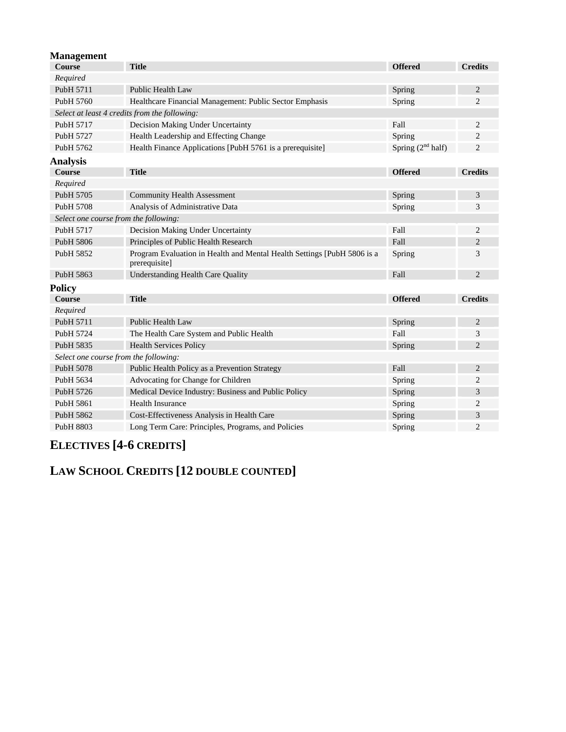| <b>Title</b>                                                                             | <b>Offered</b>                                                                                                                  | <b>Credits</b> |
|------------------------------------------------------------------------------------------|---------------------------------------------------------------------------------------------------------------------------------|----------------|
|                                                                                          |                                                                                                                                 |                |
| Public Health Law                                                                        | Spring                                                                                                                          | $\overline{2}$ |
| Healthcare Financial Management: Public Sector Emphasis                                  | Spring                                                                                                                          | $\overline{2}$ |
|                                                                                          |                                                                                                                                 |                |
| Decision Making Under Uncertainty                                                        | Fall                                                                                                                            | 2              |
| Health Leadership and Effecting Change                                                   | Spring                                                                                                                          | $\overline{c}$ |
| Health Finance Applications [PubH 5761 is a prerequisite]                                | Spring $(2nd half)$                                                                                                             | $\overline{2}$ |
|                                                                                          |                                                                                                                                 |                |
| <b>Title</b>                                                                             | <b>Offered</b>                                                                                                                  | <b>Credits</b> |
|                                                                                          |                                                                                                                                 |                |
| <b>Community Health Assessment</b>                                                       | Spring                                                                                                                          | 3              |
| Analysis of Administrative Data                                                          | Spring                                                                                                                          | 3              |
|                                                                                          |                                                                                                                                 |                |
| Decision Making Under Uncertainty                                                        | Fall                                                                                                                            | $\overline{c}$ |
| Principles of Public Health Research                                                     | Fall                                                                                                                            | $\overline{2}$ |
| Program Evaluation in Health and Mental Health Settings [PubH 5806 is a<br>prerequisite] | Spring                                                                                                                          | 3              |
| <b>Understanding Health Care Quality</b>                                                 | Fall                                                                                                                            | $\overline{2}$ |
|                                                                                          |                                                                                                                                 |                |
| <b>Title</b>                                                                             | <b>Offered</b>                                                                                                                  | <b>Credits</b> |
|                                                                                          |                                                                                                                                 |                |
| Public Health Law                                                                        | Spring                                                                                                                          | $\overline{2}$ |
| The Health Care System and Public Health                                                 | Fall                                                                                                                            | 3              |
| <b>Health Services Policy</b>                                                            | Spring                                                                                                                          | $\overline{2}$ |
|                                                                                          |                                                                                                                                 |                |
| Public Health Policy as a Prevention Strategy                                            | Fall                                                                                                                            | $\overline{c}$ |
| Advocating for Change for Children                                                       | Spring                                                                                                                          | $\overline{2}$ |
| Medical Device Industry: Business and Public Policy                                      | Spring                                                                                                                          | 3              |
| <b>Health Insurance</b>                                                                  | Spring                                                                                                                          | $\overline{2}$ |
| Cost-Effectiveness Analysis in Health Care                                               | Spring                                                                                                                          | 3              |
| Long Term Care: Principles, Programs, and Policies                                       | Spring                                                                                                                          | $\overline{2}$ |
|                                                                                          | Select at least 4 credits from the following:<br>Select one course from the following:<br>Select one course from the following: |                |

# **ELECTIVES [4-6 CREDITS]**

**LAW SCHOOL CREDITS [12 DOUBLE COUNTED]**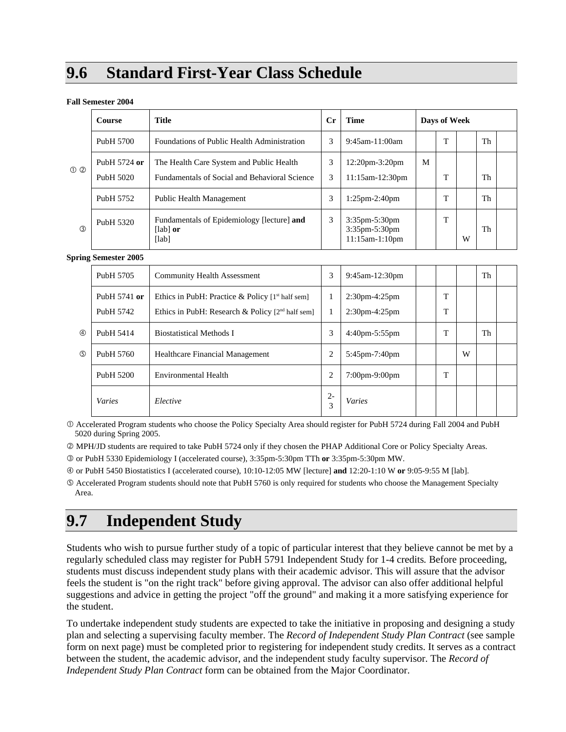# **9.6 Standard First-Year Class Schedule**

#### **Fall Semester 2004**

|               | Course                    | <b>Title</b>                                                                              | $_{\rm Cr}$ | <b>Time</b>                                             |   | Days of Week |   |    |  |
|---------------|---------------------------|-------------------------------------------------------------------------------------------|-------------|---------------------------------------------------------|---|--------------|---|----|--|
|               | PubH 5700                 | Foundations of Public Health Administration                                               | 3           | $9:45$ am-11:00am                                       |   | m            |   | Th |  |
| $\circled{0}$ | PubH 5724 or<br>PubH 5020 | The Health Care System and Public Health<br>Fundamentals of Social and Behavioral Science | 3<br>3      | $12:20$ pm $-3:20$ pm<br>11:15am-12:30pm                | M | m            |   | Th |  |
|               | PubH 5752                 | Public Health Management                                                                  | 3           | $1:25$ pm $-2:40$ pm                                    |   | m            |   | Th |  |
| (3)           | PubH 5320                 | Fundamentals of Epidemiology [lecture] and<br>$\lceil$ lab $\rceil$ or<br>[lab]           | 3           | $3:35$ pm- $5:30$ pm<br>3:35pm-5:30pm<br>11:15am-1:10pm |   | m            | W | Th |  |

#### **Spring Semester 2005**

|             | PubH 5705                 | <b>Community Health Assessment</b>                                                                       | 3          | 9:45am-12:30pm                    |        |   | Th |  |
|-------------|---------------------------|----------------------------------------------------------------------------------------------------------|------------|-----------------------------------|--------|---|----|--|
|             | PubH 5741 or<br>PubH 5742 | Ethics in PubH: Practice & Policy $[1st$ half sem]<br>Ethics in PubH: Research & Policy $[2nd$ half sem] |            | $2:30$ pm-4:25pm<br>2:30pm-4:25pm | T<br>T |   |    |  |
| 4           | Pub <sub>H</sub> 5414     | <b>Biostatistical Methods I</b>                                                                          | 3          | $4:40$ pm $-5:55$ pm              | T      |   | Th |  |
| $\circledS$ | PubH 5760                 | Healthcare Financial Management                                                                          | 2          | 5:45pm-7:40pm                     |        | W |    |  |
|             | PubH 5200                 | Environmental Health                                                                                     | 2          | $7:00$ pm-9:00pm                  | T      |   |    |  |
|             | <b>Varies</b>             | Elective                                                                                                 | $2 -$<br>3 | Varies                            |        |   |    |  |

c Accelerated Program students who choose the Policy Specialty Area should register for PubH 5724 during Fall 2004 and PubH 5020 during Spring 2005.

d MPH/JD students are required to take PubH 5724 only if they chosen the PHAP Additional Core or Policy Specialty Areas.

e or PubH 5330 Epidemiology I (accelerated course), 3:35pm-5:30pm TTh **or** 3:35pm-5:30pm MW.

f or PubH 5450 Biostatistics I (accelerated course), 10:10-12:05 MW [lecture] **and** 12:20-1:10 W **or** 9:05-9:55 M [lab].

g Accelerated Program students should note that PubH 5760 is only required for students who choose the Management Specialty Area.

# **9.7 Independent Study**

Students who wish to pursue further study of a topic of particular interest that they believe cannot be met by a regularly scheduled class may register for PubH 5791 Independent Study for 1-4 credits*.* Before proceeding, students must discuss independent study plans with their academic advisor. This will assure that the advisor feels the student is "on the right track" before giving approval. The advisor can also offer additional helpful suggestions and advice in getting the project "off the ground" and making it a more satisfying experience for the student.

To undertake independent study students are expected to take the initiative in proposing and designing a study plan and selecting a supervising faculty member. The *Record of Independent Study Plan Contract* (see sample form on next page) must be completed prior to registering for independent study credits. It serves as a contract between the student, the academic advisor, and the independent study faculty supervisor. The *Record of Independent Study Plan Contract* form can be obtained from the Major Coordinator.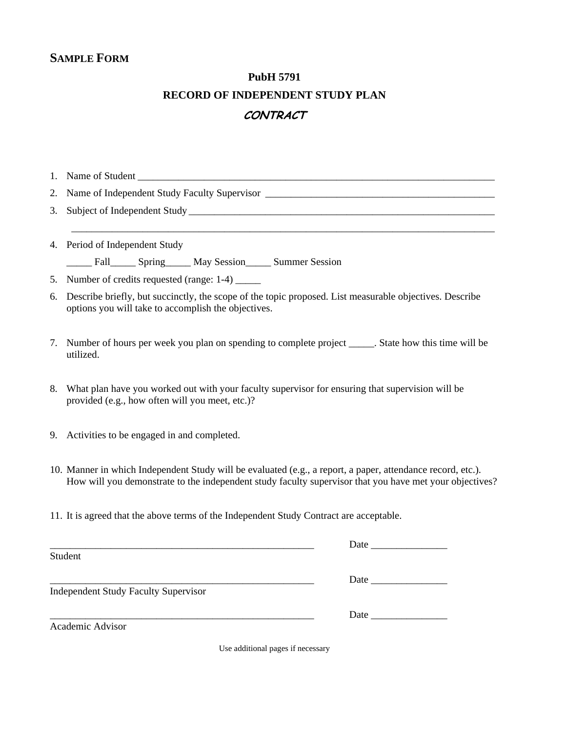## **SAMPLE FORM**

## **PubH 5791**

## **RECORD OF INDEPENDENT STUDY PLAN**

## **CONTRACT**

\_\_\_\_\_\_\_\_\_\_\_\_\_\_\_\_\_\_\_\_\_\_\_\_\_\_\_\_\_\_\_\_\_\_\_\_\_\_\_\_\_\_\_\_\_\_\_\_\_\_\_\_\_\_\_\_\_\_\_\_\_\_\_\_\_\_\_\_\_\_\_\_\_\_\_\_\_\_\_\_\_\_\_

1. Name of Student \_\_\_\_\_\_\_\_\_\_\_\_\_\_\_\_\_\_\_\_\_\_\_\_\_\_\_\_\_\_\_\_\_\_\_\_\_\_\_\_\_\_\_\_\_\_\_\_\_\_\_\_\_\_\_\_\_\_\_\_\_\_\_\_\_\_\_\_\_\_

2. Name of Independent Study Faculty Supervisor \_\_\_\_\_\_\_\_\_\_\_\_\_\_\_\_\_\_\_\_\_\_\_\_\_\_\_\_\_\_\_\_\_

3. Subject of Independent Study \_\_\_\_\_\_\_\_\_\_\_\_\_\_\_\_\_\_\_\_\_\_\_\_\_\_\_\_\_\_\_\_\_\_\_\_\_\_\_\_\_\_\_\_\_\_\_\_\_\_\_\_\_\_\_\_\_\_\_\_

4. Period of Independent Study

\_\_\_\_\_ Fall\_\_\_\_\_ Spring \_\_\_\_\_ May Session\_\_\_\_\_ Summer Session

5. Number of credits requested (range: 1-4) \_\_\_\_\_

- 6. Describe briefly, but succinctly, the scope of the topic proposed. List measurable objectives. Describe options you will take to accomplish the objectives.
- 7. Number of hours per week you plan on spending to complete project \_\_\_\_\_. State how this time will be utilized.
- 8. What plan have you worked out with your faculty supervisor for ensuring that supervision will be provided (e.g., how often will you meet, etc.)?
- 9. Activities to be engaged in and completed.
- 10. Manner in which Independent Study will be evaluated (e.g., a report, a paper, attendance record, etc.). How will you demonstrate to the independent study faculty supervisor that you have met your objectives?
- 11. It is agreed that the above terms of the Independent Study Contract are acceptable.

| Student                                     |                                                                                                                                                                                                                               |
|---------------------------------------------|-------------------------------------------------------------------------------------------------------------------------------------------------------------------------------------------------------------------------------|
|                                             | Date                                                                                                                                                                                                                          |
| <b>Independent Study Faculty Supervisor</b> |                                                                                                                                                                                                                               |
|                                             | Date and the same of the same of the same of the same of the same of the same of the same of the same of the same of the same of the same of the same of the same of the same of the same of the same of the same of the same |
| Academic Advisor                            |                                                                                                                                                                                                                               |

Use additional pages if necessary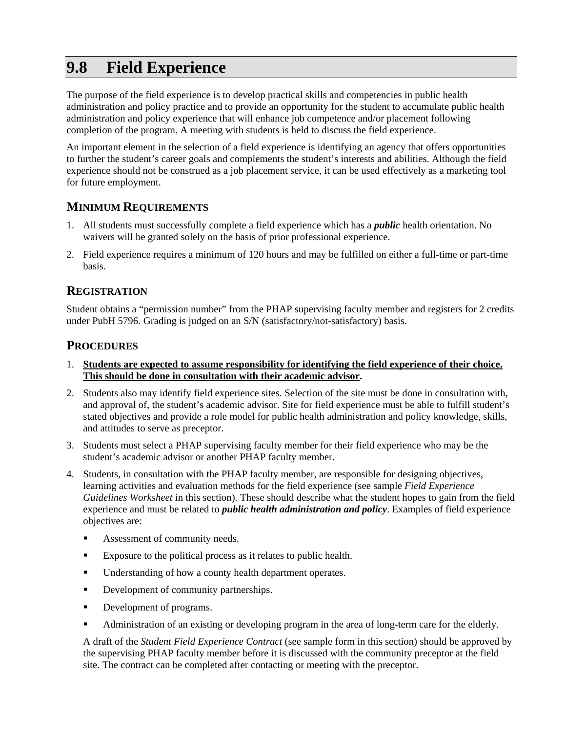# **9.8 Field Experience**

The purpose of the field experience is to develop practical skills and competencies in public health administration and policy practice and to provide an opportunity for the student to accumulate public health administration and policy experience that will enhance job competence and/or placement following completion of the program. A meeting with students is held to discuss the field experience.

An important element in the selection of a field experience is identifying an agency that offers opportunities to further the student's career goals and complements the student's interests and abilities. Although the field experience should not be construed as a job placement service, it can be used effectively as a marketing tool for future employment.

## **MINIMUM REQUIREMENTS**

- 1. All students must successfully complete a field experience which has a *public* health orientation. No waivers will be granted solely on the basis of prior professional experience.
- 2. Field experience requires a minimum of 120 hours and may be fulfilled on either a full-time or part-time basis.

## **REGISTRATION**

Student obtains a "permission number" from the PHAP supervising faculty member and registers for 2 credits under PubH 5796. Grading is judged on an S/N (satisfactory/not-satisfactory) basis.

### **PROCEDURES**

- 1. **Students are expected to assume responsibility for identifying the field experience of their choice. This should be done in consultation with their academic advisor.**
- 2. Students also may identify field experience sites. Selection of the site must be done in consultation with, and approval of, the student's academic advisor. Site for field experience must be able to fulfill student's stated objectives and provide a role model for public health administration and policy knowledge, skills, and attitudes to serve as preceptor.
- 3. Students must select a PHAP supervising faculty member for their field experience who may be the student's academic advisor or another PHAP faculty member.
- 4. Students, in consultation with the PHAP faculty member, are responsible for designing objectives, learning activities and evaluation methods for the field experience (see sample *Field Experience Guidelines Worksheet* in this section). These should describe what the student hopes to gain from the field experience and must be related to *public health administration and policy*. Examples of field experience objectives are:
	- Assessment of community needs.
	- Exposure to the political process as it relates to public health.
	- Understanding of how a county health department operates.
	- Development of community partnerships.
	- Development of programs.
	- Administration of an existing or developing program in the area of long-term care for the elderly.

A draft of the *Student Field Experience Contract* (see sample form in this section) should be approved by the supervising PHAP faculty member before it is discussed with the community preceptor at the field site. The contract can be completed after contacting or meeting with the preceptor.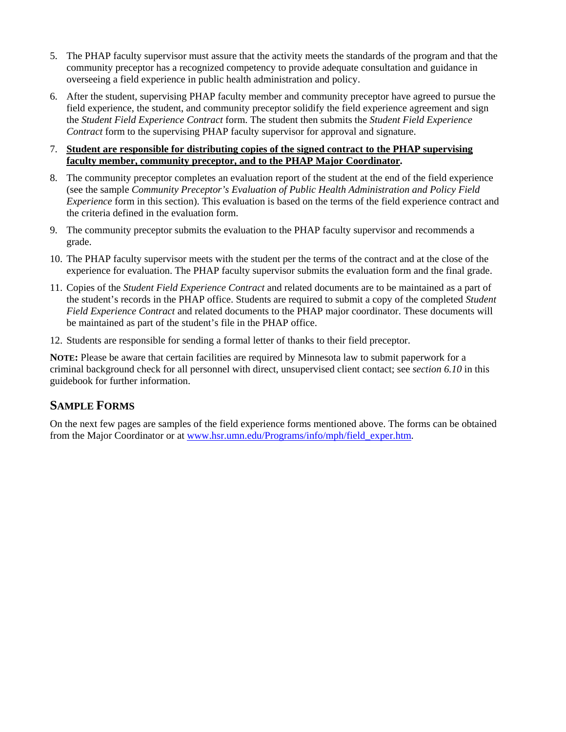- 5. The PHAP faculty supervisor must assure that the activity meets the standards of the program and that the community preceptor has a recognized competency to provide adequate consultation and guidance in overseeing a field experience in public health administration and policy.
- 6. After the student, supervising PHAP faculty member and community preceptor have agreed to pursue the field experience, the student, and community preceptor solidify the field experience agreement and sign the *Student Field Experience Contract* form. The student then submits the *Student Field Experience Contract* form to the supervising PHAP faculty supervisor for approval and signature.

#### 7. **Student are responsible for distributing copies of the signed contract to the PHAP supervising faculty member, community preceptor, and to the PHAP Major Coordinator.**

- 8. The community preceptor completes an evaluation report of the student at the end of the field experience (see the sample *Community Preceptor's Evaluation of Public Health Administration and Policy Field Experience* form in this section). This evaluation is based on the terms of the field experience contract and the criteria defined in the evaluation form.
- 9. The community preceptor submits the evaluation to the PHAP faculty supervisor and recommends a grade.
- 10. The PHAP faculty supervisor meets with the student per the terms of the contract and at the close of the experience for evaluation. The PHAP faculty supervisor submits the evaluation form and the final grade.
- 11. Copies of the *Student Field Experience Contract* and related documents are to be maintained as a part of the student's records in the PHAP office. Students are required to submit a copy of the completed *Student Field Experience Contract* and related documents to the PHAP major coordinator. These documents will be maintained as part of the student's file in the PHAP office.
- 12. Students are responsible for sending a formal letter of thanks to their field preceptor.

**NOTE:** Please be aware that certain facilities are required by Minnesota law to submit paperwork for a criminal background check for all personnel with direct, unsupervised client contact; see *section 6.10* in this guidebook for further information.

### **SAMPLE FORMS**

On the next few pages are samples of the field experience forms mentioned above. The forms can be obtained from the Major Coordinator or at www.hsr.umn.edu/Programs/info/mph/field\_exper.htm.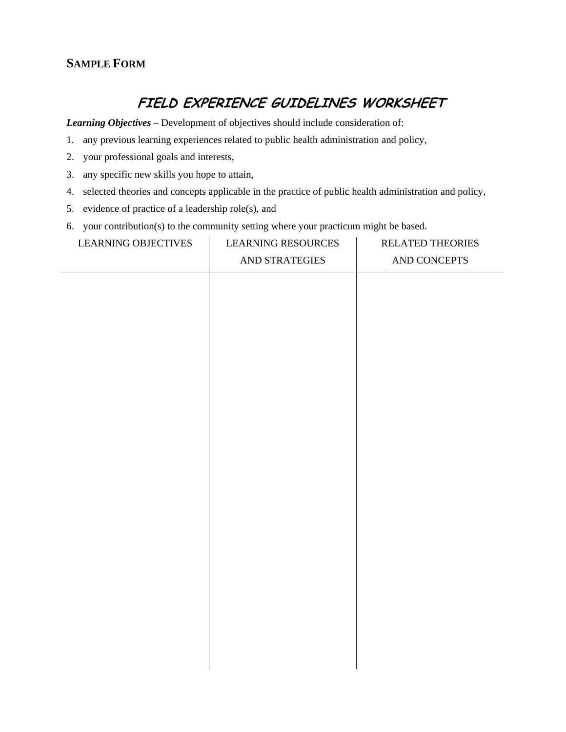## **SAMPLE FORM**

## **FIELD EXPERIENCE GUIDELINES WORKSHEET**

*Learning Objectives* – Development of objectives should include consideration of:

- 1. any previous learning experiences related to public health administration and policy,
- 2. your professional goals and interests,
- 3. any specific new skills you hope to attain,
- 4. selected theories and concepts applicable in the practice of public health administration and policy,
- 5. evidence of practice of a leadership role(s), and
- 6. your contribution(s) to the community setting where your practicum might be based.

| <b>LEARNING RESOURCES</b> | RELATED THEORIES |
|---------------------------|------------------|
| AND STRATEGIES            | AND CONCEPTS     |
|                           |                  |
|                           |                  |
|                           |                  |
|                           |                  |
|                           |                  |
|                           |                  |
|                           |                  |
|                           |                  |
|                           |                  |
|                           |                  |
|                           |                  |
|                           |                  |
|                           |                  |
|                           |                  |
|                           |                  |
|                           |                  |
|                           |                  |
|                           |                  |
|                           |                  |
|                           |                  |
|                           |                  |
|                           |                  |
|                           |                  |
|                           |                  |
|                           |                  |
|                           |                  |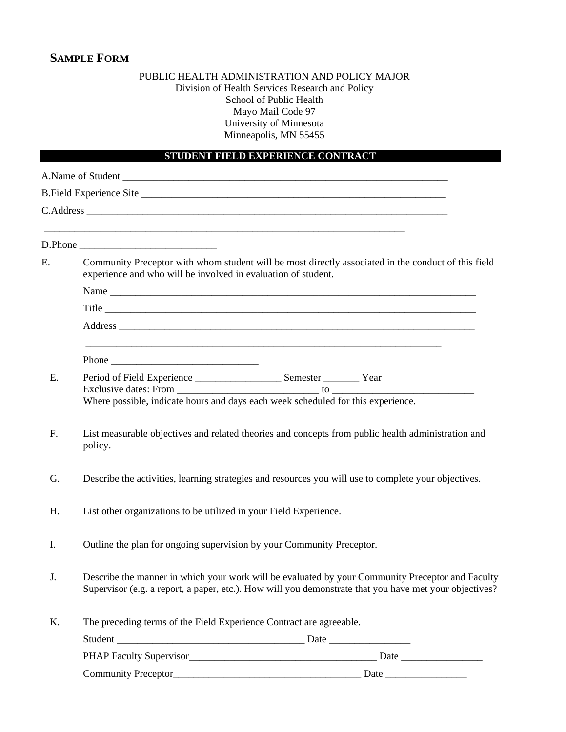## **SAMPLE FORM**

#### PUBLIC HEALTH ADMINISTRATION AND POLICY MAJOR Division of Health Services Research and Policy School of Public Health Mayo Mail Code 97 University of Minnesota Minneapolis, MN 55455

### **STUDENT FIELD EXPERIENCE CONTRACT**

|    | <u> 1989 - Johann John Stone, markin film ar yn y brenin y brenin y brenin y brenin y brenin y brenin y brenin y</u><br>D.Phone                                                                                                                                                                                                                                                                                        |  |  |
|----|------------------------------------------------------------------------------------------------------------------------------------------------------------------------------------------------------------------------------------------------------------------------------------------------------------------------------------------------------------------------------------------------------------------------|--|--|
| Е. | Community Preceptor with whom student will be most directly associated in the conduct of this field<br>experience and who will be involved in evaluation of student.                                                                                                                                                                                                                                                   |  |  |
|    |                                                                                                                                                                                                                                                                                                                                                                                                                        |  |  |
|    |                                                                                                                                                                                                                                                                                                                                                                                                                        |  |  |
|    | Address experience and the contract of the contract of the contract of the contract of the contract of the contract of the contract of the contract of the contract of the contract of the contract of the contract of the con                                                                                                                                                                                         |  |  |
|    | Phone $\frac{1}{\sqrt{1-\frac{1}{2}}}\left\{ \frac{1}{2}, \frac{1}{2}, \frac{1}{2}, \frac{1}{2}, \frac{1}{2}, \frac{1}{2}, \frac{1}{2}, \frac{1}{2}, \frac{1}{2}, \frac{1}{2}, \frac{1}{2}, \frac{1}{2}, \frac{1}{2}, \frac{1}{2}, \frac{1}{2}, \frac{1}{2}, \frac{1}{2}, \frac{1}{2}, \frac{1}{2}, \frac{1}{2}, \frac{1}{2}, \frac{1}{2}, \frac{1}{2}, \frac{1}{2}, \frac{1}{2}, \frac{1}{2}, \frac{1}{2}, \frac{1}{$ |  |  |
| Ε. | Period of Field Experience _________________________ Semester ___________ Year<br>Where possible, indicate hours and days each week scheduled for this experience.                                                                                                                                                                                                                                                     |  |  |
| F. | List measurable objectives and related theories and concepts from public health administration and<br>policy.                                                                                                                                                                                                                                                                                                          |  |  |
| G. | Describe the activities, learning strategies and resources you will use to complete your objectives.                                                                                                                                                                                                                                                                                                                   |  |  |
| H. | List other organizations to be utilized in your Field Experience.                                                                                                                                                                                                                                                                                                                                                      |  |  |
| I. | Outline the plan for ongoing supervision by your Community Preceptor.                                                                                                                                                                                                                                                                                                                                                  |  |  |
| J. | Describe the manner in which your work will be evaluated by your Community Preceptor and Faculty<br>Supervisor (e.g. a report, a paper, etc.). How will you demonstrate that you have met your objectives?                                                                                                                                                                                                             |  |  |
| Κ. | The preceding terms of the Field Experience Contract are agreeable.                                                                                                                                                                                                                                                                                                                                                    |  |  |
|    |                                                                                                                                                                                                                                                                                                                                                                                                                        |  |  |
|    | PHAP Faculty Supervisor<br><u>Date</u>                                                                                                                                                                                                                                                                                                                                                                                 |  |  |

Community Preceptor\_\_\_\_\_\_\_\_\_\_\_\_\_\_\_\_\_\_\_\_\_\_\_\_\_\_\_\_\_\_\_\_\_\_\_\_\_ Date \_\_\_\_\_\_\_\_\_\_\_\_\_\_\_\_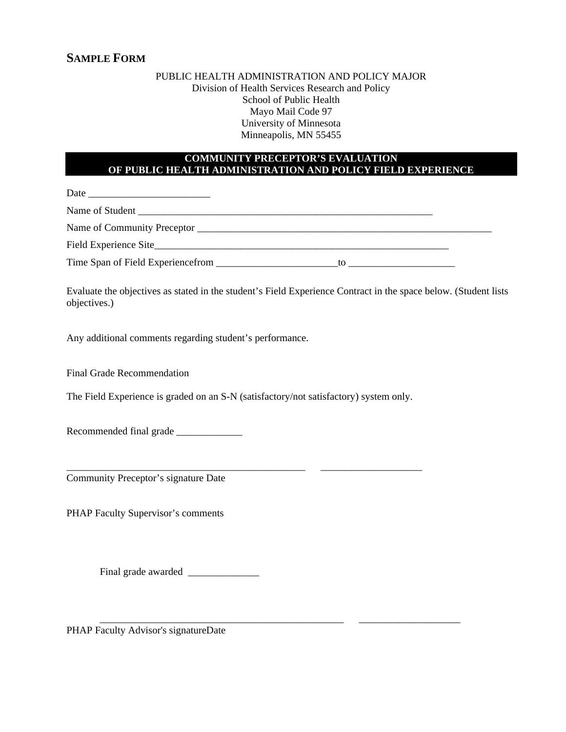#### PUBLIC HEALTH ADMINISTRATION AND POLICY MAJOR Division of Health Services Research and Policy School of Public Health Mayo Mail Code 97 University of Minnesota Minneapolis, MN 55455

#### **COMMUNITY PRECEPTOR'S EVALUATION OF PUBLIC HEALTH ADMINISTRATION AND POLICY FIELD EXPERIENCE**

Date \_\_\_\_\_\_\_\_\_\_\_\_\_\_\_\_\_\_\_\_\_\_\_\_

Name of Student \_\_\_\_\_\_\_\_\_\_\_\_\_\_\_\_\_\_\_\_\_\_\_\_\_\_\_\_\_\_\_\_\_\_\_\_\_\_\_\_\_\_\_\_\_\_\_\_\_\_\_\_\_\_\_\_\_\_

Name of Community Preceptor \_\_\_\_\_\_\_\_\_\_\_\_\_\_\_\_\_\_\_\_\_\_\_\_\_\_\_\_\_\_\_\_\_\_\_\_\_\_\_\_\_\_\_\_\_\_\_\_\_\_\_\_\_\_\_\_\_\_

Field Experience Site

Time Span of Field Experiencefrom \_\_\_\_\_\_\_\_\_\_\_\_\_\_\_\_\_\_\_\_\_\_\_\_to \_\_\_\_\_\_\_\_\_\_\_\_\_\_\_\_\_\_\_\_\_

Evaluate the objectives as stated in the student's Field Experience Contract in the space below. (Student lists objectives.)

\_\_\_\_\_\_\_\_\_\_\_\_\_\_\_\_\_\_\_\_\_\_\_\_\_\_\_\_\_\_\_\_\_\_\_\_\_\_\_\_\_\_\_\_\_\_\_ \_\_\_\_\_\_\_\_\_\_\_\_\_\_\_\_\_\_\_\_

\_\_\_\_\_\_\_\_\_\_\_\_\_\_\_\_\_\_\_\_\_\_\_\_\_\_\_\_\_\_\_\_\_\_\_\_\_\_\_\_\_\_\_\_\_\_\_\_ \_\_\_\_\_\_\_\_\_\_\_\_\_\_\_\_\_\_\_\_

Any additional comments regarding student's performance.

Final Grade Recommendation

The Field Experience is graded on an S-N (satisfactory/not satisfactory) system only.

Recommended final grade \_\_\_\_\_\_\_\_\_\_\_\_\_

Community Preceptor's signature Date

PHAP Faculty Supervisor's comments

Final grade awarded \_\_\_\_\_\_\_\_\_\_\_\_\_\_

PHAP Faculty Advisor's signatureDate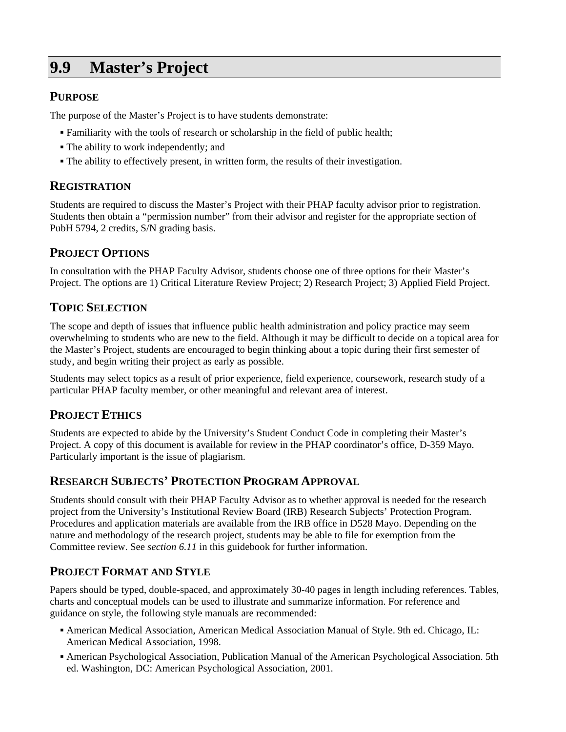# **9.9 Master's Project**

## **PURPOSE**

The purpose of the Master's Project is to have students demonstrate:

- Familiarity with the tools of research or scholarship in the field of public health;
- The ability to work independently; and
- The ability to effectively present, in written form, the results of their investigation.

## **REGISTRATION**

Students are required to discuss the Master's Project with their PHAP faculty advisor prior to registration. Students then obtain a "permission number" from their advisor and register for the appropriate section of PubH 5794, 2 credits, S/N grading basis.

## **PROJECT OPTIONS**

In consultation with the PHAP Faculty Advisor, students choose one of three options for their Master's Project. The options are 1) Critical Literature Review Project; 2) Research Project; 3) Applied Field Project.

## **TOPIC SELECTION**

The scope and depth of issues that influence public health administration and policy practice may seem overwhelming to students who are new to the field. Although it may be difficult to decide on a topical area for the Master's Project, students are encouraged to begin thinking about a topic during their first semester of study, and begin writing their project as early as possible.

Students may select topics as a result of prior experience, field experience, coursework, research study of a particular PHAP faculty member, or other meaningful and relevant area of interest.

## **PROJECT ETHICS**

Students are expected to abide by the University's Student Conduct Code in completing their Master's Project. A copy of this document is available for review in the PHAP coordinator's office, D-359 Mayo. Particularly important is the issue of plagiarism.

## **RESEARCH SUBJECTS' PROTECTION PROGRAM APPROVAL**

Students should consult with their PHAP Faculty Advisor as to whether approval is needed for the research project from the University's Institutional Review Board (IRB) Research Subjects' Protection Program. Procedures and application materials are available from the IRB office in D528 Mayo. Depending on the nature and methodology of the research project, students may be able to file for exemption from the Committee review. See *section 6.11* in this guidebook for further information.

## **PROJECT FORMAT AND STYLE**

Papers should be typed, double-spaced, and approximately 30-40 pages in length including references. Tables, charts and conceptual models can be used to illustrate and summarize information. For reference and guidance on style, the following style manuals are recommended:

- American Medical Association, American Medical Association Manual of Style. 9th ed. Chicago, IL: American Medical Association, 1998.
- American Psychological Association, Publication Manual of the American Psychological Association. 5th ed. Washington, DC: American Psychological Association, 2001.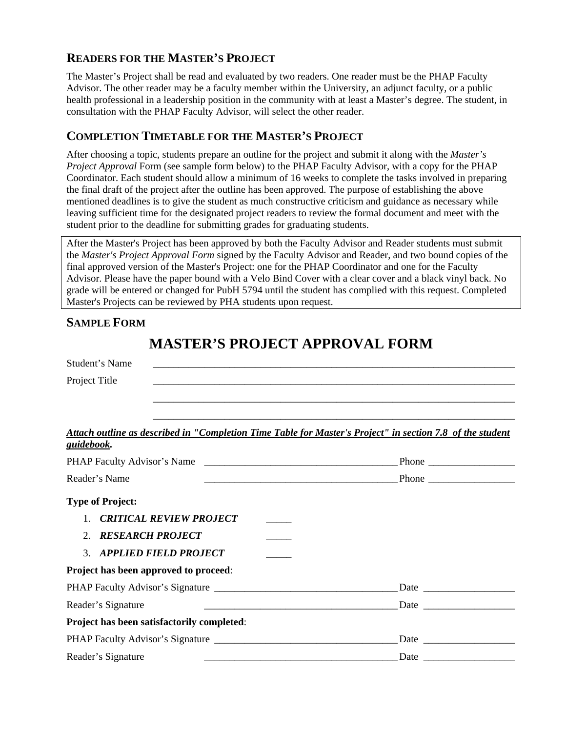## **READERS FOR THE MASTER'S PROJECT**

The Master's Project shall be read and evaluated by two readers. One reader must be the PHAP Faculty Advisor. The other reader may be a faculty member within the University, an adjunct faculty, or a public health professional in a leadership position in the community with at least a Master's degree. The student, in consultation with the PHAP Faculty Advisor, will select the other reader.

## **COMPLETION TIMETABLE FOR THE MASTER'S PROJECT**

After choosing a topic, students prepare an outline for the project and submit it along with the *Master's Project Approval* Form (see sample form below) to the PHAP Faculty Advisor, with a copy for the PHAP Coordinator. Each student should allow a minimum of 16 weeks to complete the tasks involved in preparing the final draft of the project after the outline has been approved. The purpose of establishing the above mentioned deadlines is to give the student as much constructive criticism and guidance as necessary while leaving sufficient time for the designated project readers to review the formal document and meet with the student prior to the deadline for submitting grades for graduating students.

After the Master's Project has been approved by both the Faculty Advisor and Reader students must submit the *Master's Project Approval Form* signed by the Faculty Advisor and Reader, and two bound copies of the final approved version of the Master's Project: one for the PHAP Coordinator and one for the Faculty Advisor. Please have the paper bound with a Velo Bind Cover with a clear cover and a black vinyl back. No grade will be entered or changed for PubH 5794 until the student has complied with this request. Completed Master's Projects can be reviewed by PHA students upon request.

## **SAMPLE FORM**

## **MASTER'S PROJECT APPROVAL FORM**

| <b>Student's Name</b>                                                                                                                       |  |
|---------------------------------------------------------------------------------------------------------------------------------------------|--|
| Project Title                                                                                                                               |  |
|                                                                                                                                             |  |
| Attach outline as described in "Completion Time Table for Master's Project" in section 7.8 of the student                                   |  |
| <u>guidebook.</u>                                                                                                                           |  |
|                                                                                                                                             |  |
| Reader's Name                                                                                                                               |  |
| <b>Type of Project:</b>                                                                                                                     |  |
| 1. CRITICAL REVIEW PROJECT                                                                                                                  |  |
| <b>RESEARCH PROJECT</b><br>$2^{+}$                                                                                                          |  |
| <b>APPLIED FIELD PROJECT</b><br>3 <sub>1</sub>                                                                                              |  |
| Project has been approved to proceed:                                                                                                       |  |
|                                                                                                                                             |  |
| Reader's Signature<br><u> 1988 - Johann Harry Harry Harry Harry Harry Harry Harry Harry Harry Harry Harry Harry Harry Harry Harry Harry</u> |  |
| Project has been satisfactorily completed:                                                                                                  |  |
|                                                                                                                                             |  |
| Reader's Signature                                                                                                                          |  |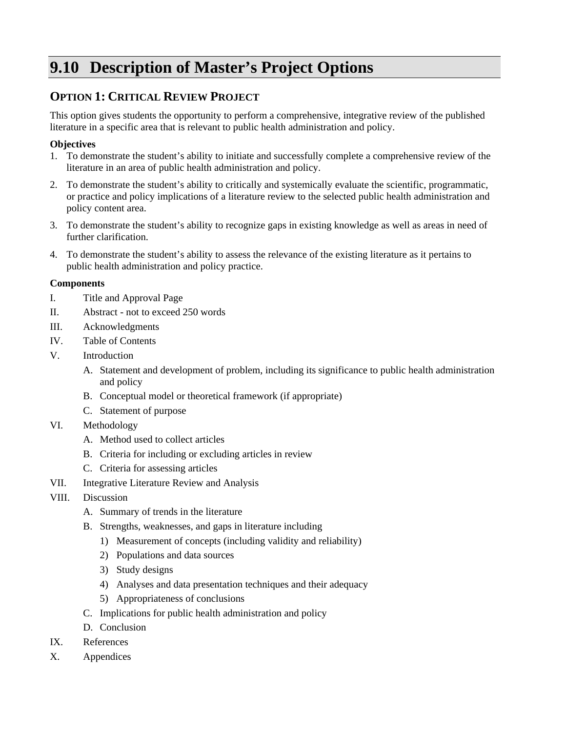# **9.10 Description of Master's Project Options**

## **OPTION 1: CRITICAL REVIEW PROJECT**

This option gives students the opportunity to perform a comprehensive, integrative review of the published literature in a specific area that is relevant to public health administration and policy.

### **Objectives**

- 1. To demonstrate the student's ability to initiate and successfully complete a comprehensive review of the literature in an area of public health administration and policy.
- 2. To demonstrate the student's ability to critically and systemically evaluate the scientific, programmatic, or practice and policy implications of a literature review to the selected public health administration and policy content area.
- 3. To demonstrate the student's ability to recognize gaps in existing knowledge as well as areas in need of further clarification.
- 4. To demonstrate the student's ability to assess the relevance of the existing literature as it pertains to public health administration and policy practice.

#### **Components**

- I. Title and Approval Page
- II. Abstract not to exceed 250 words
- III. Acknowledgments
- IV. Table of Contents
- V. Introduction
	- A. Statement and development of problem, including its significance to public health administration and policy
	- B. Conceptual model or theoretical framework (if appropriate)
	- C. Statement of purpose
- VI. Methodology
	- A. Method used to collect articles
	- B. Criteria for including or excluding articles in review
	- C. Criteria for assessing articles
- VII. Integrative Literature Review and Analysis
- VIII. Discussion
	- A. Summary of trends in the literature
	- B. Strengths, weaknesses, and gaps in literature including
		- 1) Measurement of concepts (including validity and reliability)
		- 2) Populations and data sources
		- 3) Study designs
		- 4) Analyses and data presentation techniques and their adequacy
		- 5) Appropriateness of conclusions
	- C. Implications for public health administration and policy
	- D. Conclusion
- IX. References
- X. Appendices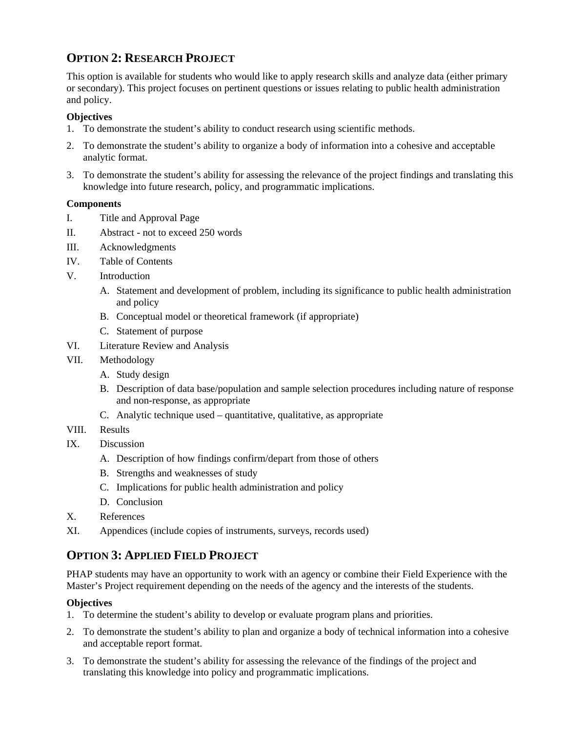## **OPTION 2: RESEARCH PROJECT**

This option is available for students who would like to apply research skills and analyze data (either primary or secondary). This project focuses on pertinent questions or issues relating to public health administration and policy.

### **Objectives**

- 1. To demonstrate the student's ability to conduct research using scientific methods.
- 2. To demonstrate the student's ability to organize a body of information into a cohesive and acceptable analytic format.
- 3. To demonstrate the student's ability for assessing the relevance of the project findings and translating this knowledge into future research, policy, and programmatic implications.

#### **Components**

- I. Title and Approval Page
- II. Abstract not to exceed 250 words
- III. Acknowledgments
- IV. Table of Contents
- V. Introduction
	- A. Statement and development of problem, including its significance to public health administration and policy
	- B. Conceptual model or theoretical framework (if appropriate)
	- C. Statement of purpose
- VI. Literature Review and Analysis
- VII. Methodology
	- A. Study design
	- B. Description of data base/population and sample selection procedures including nature of response and non-response, as appropriate
	- C. Analytic technique used quantitative, qualitative, as appropriate
- VIII. Results
- IX. Discussion
	- A. Description of how findings confirm/depart from those of others
	- B. Strengths and weaknesses of study
	- C. Implications for public health administration and policy
	- D. Conclusion
- X. References
- XI. Appendices (include copies of instruments, surveys, records used)

## **OPTION 3: APPLIED FIELD PROJECT**

PHAP students may have an opportunity to work with an agency or combine their Field Experience with the Master's Project requirement depending on the needs of the agency and the interests of the students.

#### **Objectives**

- 1. To determine the student's ability to develop or evaluate program plans and priorities.
- 2. To demonstrate the student's ability to plan and organize a body of technical information into a cohesive and acceptable report format.
- 3. To demonstrate the student's ability for assessing the relevance of the findings of the project and translating this knowledge into policy and programmatic implications.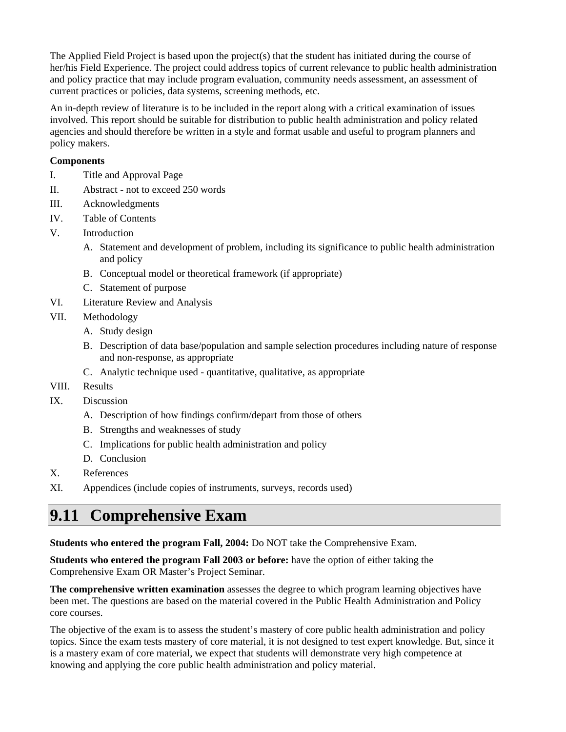The Applied Field Project is based upon the project(s) that the student has initiated during the course of her/his Field Experience. The project could address topics of current relevance to public health administration and policy practice that may include program evaluation, community needs assessment, an assessment of current practices or policies, data systems, screening methods, etc.

An in-depth review of literature is to be included in the report along with a critical examination of issues involved. This report should be suitable for distribution to public health administration and policy related agencies and should therefore be written in a style and format usable and useful to program planners and policy makers.

#### **Components**

- I. Title and Approval Page
- II. Abstract not to exceed 250 words
- III. Acknowledgments
- IV. Table of Contents
- V. Introduction
	- A. Statement and development of problem, including its significance to public health administration and policy
	- B. Conceptual model or theoretical framework (if appropriate)
	- C. Statement of purpose
- VI. Literature Review and Analysis
- VII. Methodology
	- A. Study design
	- B. Description of data base/population and sample selection procedures including nature of response and non-response, as appropriate
	- C. Analytic technique used quantitative, qualitative, as appropriate
- VIII. Results
- IX. Discussion
	- A. Description of how findings confirm/depart from those of others
	- B. Strengths and weaknesses of study
	- C. Implications for public health administration and policy
	- D. Conclusion
- X. References
- XI. Appendices (include copies of instruments, surveys, records used)

# **9.11 Comprehensive Exam**

**Students who entered the program Fall, 2004:** Do NOT take the Comprehensive Exam.

**Students who entered the program Fall 2003 or before:** have the option of either taking the Comprehensive Exam OR Master's Project Seminar.

**The comprehensive written examination** assesses the degree to which program learning objectives have been met. The questions are based on the material covered in the Public Health Administration and Policy core courses.

The objective of the exam is to assess the student's mastery of core public health administration and policy topics. Since the exam tests mastery of core material, it is not designed to test expert knowledge. But, since it is a mastery exam of core material, we expect that students will demonstrate very high competence at knowing and applying the core public health administration and policy material.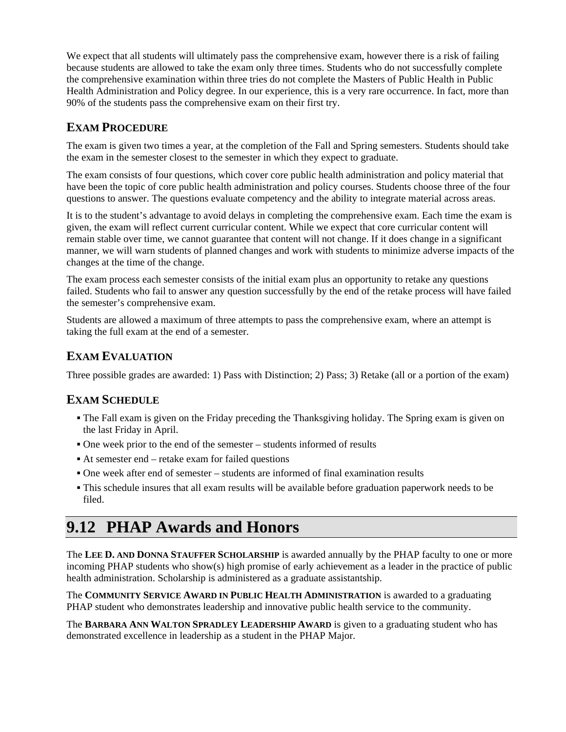We expect that all students will ultimately pass the comprehensive exam, however there is a risk of failing because students are allowed to take the exam only three times. Students who do not successfully complete the comprehensive examination within three tries do not complete the Masters of Public Health in Public Health Administration and Policy degree. In our experience, this is a very rare occurrence. In fact, more than 90% of the students pass the comprehensive exam on their first try.

## **EXAM PROCEDURE**

The exam is given two times a year, at the completion of the Fall and Spring semesters. Students should take the exam in the semester closest to the semester in which they expect to graduate.

The exam consists of four questions, which cover core public health administration and policy material that have been the topic of core public health administration and policy courses. Students choose three of the four questions to answer. The questions evaluate competency and the ability to integrate material across areas.

It is to the student's advantage to avoid delays in completing the comprehensive exam. Each time the exam is given, the exam will reflect current curricular content. While we expect that core curricular content will remain stable over time, we cannot guarantee that content will not change. If it does change in a significant manner, we will warn students of planned changes and work with students to minimize adverse impacts of the changes at the time of the change.

The exam process each semester consists of the initial exam plus an opportunity to retake any questions failed. Students who fail to answer any question successfully by the end of the retake process will have failed the semester's comprehensive exam.

Students are allowed a maximum of three attempts to pass the comprehensive exam, where an attempt is taking the full exam at the end of a semester.

## **EXAM EVALUATION**

Three possible grades are awarded: 1) Pass with Distinction; 2) Pass; 3) Retake (all or a portion of the exam)

## **EXAM SCHEDULE**

- The Fall exam is given on the Friday preceding the Thanksgiving holiday. The Spring exam is given on the last Friday in April.
- One week prior to the end of the semester students informed of results
- At semester end retake exam for failed questions
- One week after end of semester students are informed of final examination results
- This schedule insures that all exam results will be available before graduation paperwork needs to be filed.

# **9.12 PHAP Awards and Honors**

The **LEE D. AND DONNA STAUFFER SCHOLARSHIP** is awarded annually by the PHAP faculty to one or more incoming PHAP students who show(s) high promise of early achievement as a leader in the practice of public health administration. Scholarship is administered as a graduate assistantship.

The **COMMUNITY SERVICE AWARD IN PUBLIC HEALTH ADMINISTRATION** is awarded to a graduating PHAP student who demonstrates leadership and innovative public health service to the community.

The **BARBARA ANN WALTON SPRADLEY LEADERSHIP AWARD** is given to a graduating student who has demonstrated excellence in leadership as a student in the PHAP Major.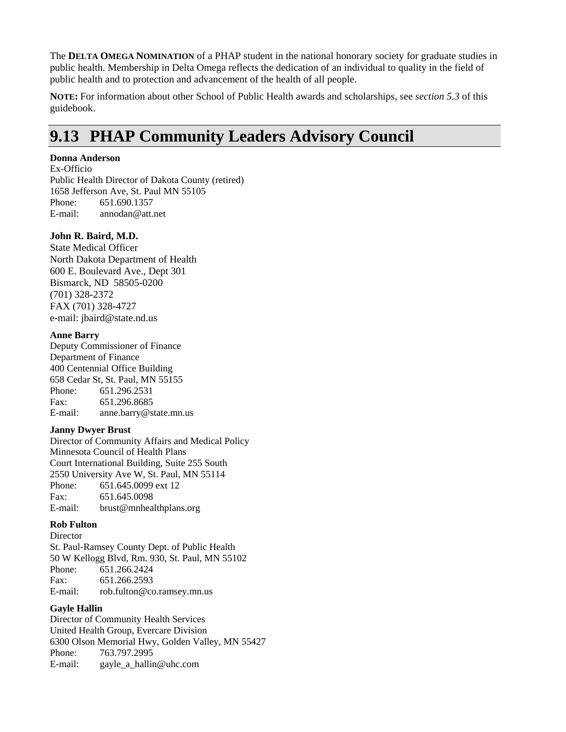The **DELTA OMEGA NOMINATION** of a PHAP student in the national honorary society for graduate studies in public health. Membership in Delta Omega reflects the dedication of an individual to quality in the field of public health and to protection and advancement of the health of all people.

**NOTE:** For information about other School of Public Health awards and scholarships, see *section 5.3* of this guidebook.

# **9.13 PHAP Community Leaders Advisory Council**

#### **Donna Anderson**

Ex-Officio Public Health Director of Dakota County (retired) 1658 Jefferson Ave, St. Paul MN 55105 Phone: 651.690.1357 E-mail: annodan@att.net

#### **John R. Baird, M.D.**

State Medical Officer North Dakota Department of Health 600 E. Boulevard Ave., Dept 301 Bismarck, ND 58505-0200 (701) 328-2372 FAX (701) 328-4727 e-mail: jbaird@state.nd.us

#### **Anne Barry**

Deputy Commissioner of Finance Department of Finance 400 Centennial Office Building 658 Cedar St, St. Paul, MN 55155 Phone: 651.296.2531<br>Fax: 651.296.8685 651.296.8685 E-mail: anne.barry@state.mn.us

#### **Janny Dwyer Brust**

Director of Community Affairs and Medical Policy Minnesota Council of Health Plans Court International Building, Suite 255 South 2550 University Ave W, St. Paul, MN 55114 Phone: 651.645.0099 ext 12 Fax: 651.645.0098 E-mail: brust@mnhealthplans.org

#### **Rob Fulton**

**Director** St. Paul-Ramsey County Dept. of Public Health 50 W Kellogg Blvd, Rm. 930, St. Paul, MN 55102 Phone: 651.266.2424 Fax: 651.266.2593 E-mail: rob.fulton@co.ramsey.mn.us

#### **Gayle Hallin**

Director of Community Health Services United Health Group, Evercare Division 6300 Olson Memorial Hwy, Golden Valley, MN 55427 Phone: 763.797.2995 E-mail: gayle\_a\_hallin@uhc.com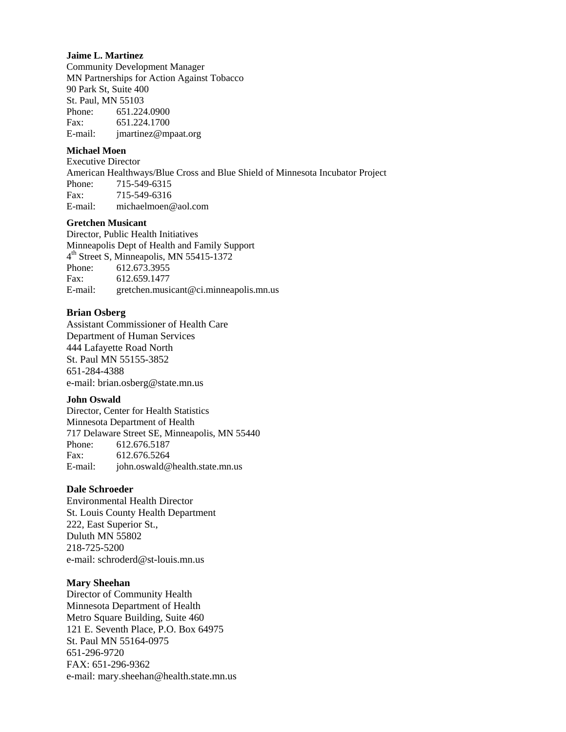#### **Jaime L. Martinez**

Community Development Manager MN Partnerships for Action Against Tobacco 90 Park St, Suite 400 St. Paul, MN 55103 Phone: 651.224.0900 Fax: 651.224.1700 E-mail: jmartinez@mpaat.org

#### **Michael Moen**

Executive Director American Healthways/Blue Cross and Blue Shield of Minnesota Incubator Project Phone: 715-549-6315 Fax: 715-549-6316 E-mail: michaelmoen@aol.com

#### **Gretchen Musicant**

Director, Public Health Initiatives Minneapolis Dept of Health and Family Support 4<sup>th</sup> Street S, Minneapolis, MN 55415-1372 Phone: 612.673.3955 Fax: 612.659.1477 E-mail: gretchen.musicant@ci.minneapolis.mn.us

#### **Brian Osberg**

Assistant Commissioner of Health Care Department of Human Services 444 Lafayette Road North St. Paul MN 55155-3852 651-284-4388 e-mail: brian.osberg@state.mn.us

#### **John Oswald**

Director, Center for Health Statistics Minnesota Department of Health 717 Delaware Street SE, Minneapolis, MN 55440 Phone: 612.676.5187 Fax: 612.676.5264 E-mail: john.oswald@health.state.mn.us

#### **Dale Schroeder**

Environmental Health Director St. Louis County Health Department 222, East Superior St., Duluth MN 55802 218-725-5200 e-mail: schroderd@st-louis.mn.us

#### **Mary Sheehan**

Director of Community Health Minnesota Department of Health Metro Square Building, Suite 460 121 E. Seventh Place, P.O. Box 64975 St. Paul MN 55164-0975 651-296-9720 FAX: 651-296-9362 e-mail: mary.sheehan@health.state.mn.us